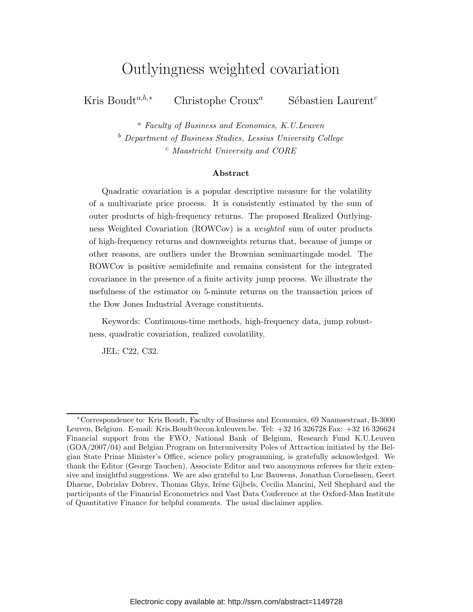## Outlyingness weighted covariation

Kris Boudt<sup>a,b,∗</sup> Christophe Croux<sup>a</sup> Sébastien Laurent<sup>c</sup>

<sup>a</sup> Faculty of Business and Economics, K.U.Leuven <sup>b</sup> Department of Business Studies, Lessius University College <sup>c</sup> Maastricht University and CORE

#### Abstract

Quadratic covariation is a popular descriptive measure for the volatility of a multivariate price process. It is consistently estimated by the sum of outer products of high-frequency returns. The proposed Realized Outlyingness Weighted Covariation (ROWCov) is a weighted sum of outer products of high-frequency returns and downweights returns that, because of jumps or other reasons, are outliers under the Brownian semimartingale model. The ROWCov is positive semidefinite and remains consistent for the integrated covariance in the presence of a finite activity jump process. We illustrate the usefulness of the estimator on 5-minute returns on the transaction prices of the Dow Jones Industrial Average constituents.

Keywords: Continuous-time methods, high-frequency data, jump robustness, quadratic covariation, realized covolatility.

JEL: C22, C32.

<sup>∗</sup>Correspondence to: Kris Boudt, Faculty of Business and Economics, 69 Naamsestraat, B-3000 Leuven, Belgium. E-mail: Kris.Boudt@econ.kuleuven.be. Tel: +32 16 326728 Fax: +32 16 326624 Financial support from the FWO, National Bank of Belgium, Research Fund K.U.Leuven (GOA/2007/04) and Belgian Program on Interuniversity Poles of Attraction initiated by the Belgian State Prime Minister's Office, science policy programming, is gratefully acknowledged. We thank the Editor (George Tauchen), Associate Editor and two anonymous referees for their extensive and insightful suggestions. We are also grateful to Luc Bauwens, Jonathan Cornelissen, Geert Dhaene, Dobrislav Dobrev, Thomas Ghys, Irène Gijbels, Cecilia Mancini, Neil Shephard and the participants of the Financial Econometrics and Vast Data Conference at the Oxford-Man Institute of Quantitative Finance for helpful comments. The usual disclaimer applies.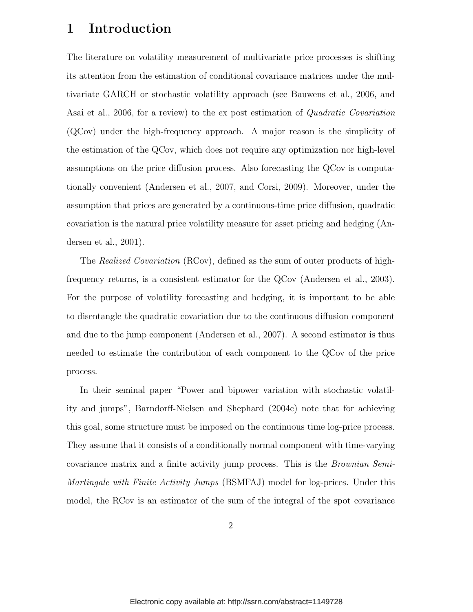## 1 Introduction

The literature on volatility measurement of multivariate price processes is shifting its attention from the estimation of conditional covariance matrices under the multivariate GARCH or stochastic volatility approach (see Bauwens et al., 2006, and Asai et al., 2006, for a review) to the ex post estimation of *Quadratic Covariation* (QCov) under the high-frequency approach. A major reason is the simplicity of the estimation of the QCov, which does not require any optimization nor high-level assumptions on the price diffusion process. Also forecasting the QCov is computationally convenient (Andersen et al., 2007, and Corsi, 2009). Moreover, under the assumption that prices are generated by a continuous-time price diffusion, quadratic covariation is the natural price volatility measure for asset pricing and hedging (Andersen et al., 2001).

The *Realized Covariation* (RCov), defined as the sum of outer products of highfrequency returns, is a consistent estimator for the QCov (Andersen et al., 2003). For the purpose of volatility forecasting and hedging, it is important to be able to disentangle the quadratic covariation due to the continuous diffusion component and due to the jump component (Andersen et al., 2007). A second estimator is thus needed to estimate the contribution of each component to the QCov of the price process.

In their seminal paper "Power and bipower variation with stochastic volatility and jumps", Barndorff-Nielsen and Shephard (2004c) note that for achieving this goal, some structure must be imposed on the continuous time log-price process. They assume that it consists of a conditionally normal component with time-varying covariance matrix and a finite activity jump process. This is the *Brownian Semi-Martingale with Finite Activity Jumps* (BSMFAJ) model for log-prices. Under this model, the RCov is an estimator of the sum of the integral of the spot covariance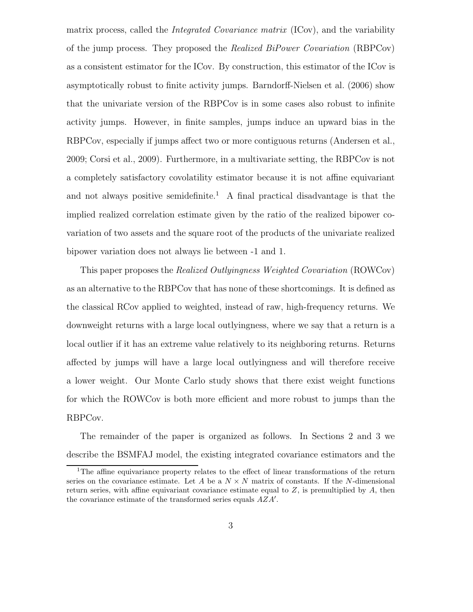matrix process, called the *Integrated Covariance matrix* (ICov), and the variability of the jump process. They proposed the *Realized BiPower Covariation* (RBPCov) as a consistent estimator for the ICov. By construction, this estimator of the ICov is asymptotically robust to finite activity jumps. Barndorff-Nielsen et al. (2006) show that the univariate version of the RBPCov is in some cases also robust to infinite activity jumps. However, in finite samples, jumps induce an upward bias in the RBPCov, especially if jumps affect two or more contiguous returns (Andersen et al., 2009; Corsi et al., 2009). Furthermore, in a multivariate setting, the RBPCov is not a completely satisfactory covolatility estimator because it is not affine equivariant and not always positive semidefinite.<sup>1</sup> A final practical disadvantage is that the implied realized correlation estimate given by the ratio of the realized bipower covariation of two assets and the square root of the products of the univariate realized bipower variation does not always lie between -1 and 1.

This paper proposes the *Realized Outlyingness Weighted Covariation* (ROWCov) as an alternative to the RBPCov that has none of these shortcomings. It is defined as the classical RCov applied to weighted, instead of raw, high-frequency returns. We downweight returns with a large local outlyingness, where we say that a return is a local outlier if it has an extreme value relatively to its neighboring returns. Returns affected by jumps will have a large local outlyingness and will therefore receive a lower weight. Our Monte Carlo study shows that there exist weight functions for which the ROWCov is both more efficient and more robust to jumps than the RBPCov.

The remainder of the paper is organized as follows. In Sections 2 and 3 we describe the BSMFAJ model, the existing integrated covariance estimators and the

<sup>&</sup>lt;sup>1</sup>The affine equivariance property relates to the effect of linear transformations of the return series on the covariance estimate. Let A be a  $N \times N$  matrix of constants. If the N-dimensional return series, with affine equivariant covariance estimate equal to  $Z$ , is premultiplied by  $A$ , then the covariance estimate of the transformed series equals  $\overrightarrow{AZA'}$ .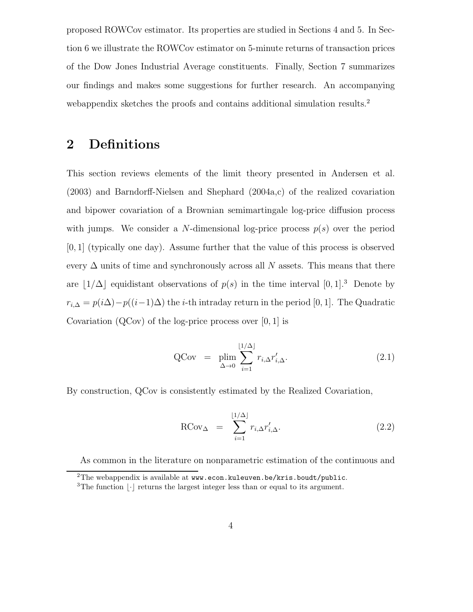proposed ROWCov estimator. Its properties are studied in Sections 4 and 5. In Section 6 we illustrate the ROWCov estimator on 5-minute returns of transaction prices of the Dow Jones Industrial Average constituents. Finally, Section 7 summarizes our findings and makes some suggestions for further research. An accompanying webappendix sketches the proofs and contains additional simulation results.<sup>2</sup>

## 2 Definitions

This section reviews elements of the limit theory presented in Andersen et al. (2003) and Barndorff-Nielsen and Shephard (2004a,c) of the realized covariation and bipower covariation of a Brownian semimartingale log-price diffusion process with jumps. We consider a N-dimensional log-price process  $p(s)$  over the period [0, 1] (typically one day). Assume further that the value of this process is observed every  $\Delta$  units of time and synchronously across all N assets. This means that there are  $|1/\Delta|$  equidistant observations of  $p(s)$  in the time interval  $[0, 1]$ .<sup>3</sup> Denote by  $r_{i,\Delta} = p(i\Delta)-p((i-1)\Delta)$  the *i*-th intraday return in the period [0, 1]. The Quadratic Covariation  $(QCov)$  of the log-price process over  $[0, 1]$  is

$$
QCov = \n\lim_{\Delta \to 0} \sum_{i=1}^{\lfloor 1/\Delta \rfloor} r_{i,\Delta} r'_{i,\Delta}.
$$
\n(2.1)

By construction, QCov is consistently estimated by the Realized Covariation,

$$
RCov_{\Delta} = \sum_{i=1}^{\lfloor 1/\Delta \rfloor} r_{i,\Delta} r'_{i,\Delta}.
$$
 (2.2)

As common in the literature on nonparametric estimation of the continuous and

<sup>&</sup>lt;sup>2</sup>The webappendix is available at www.econ.kuleuven.be/kris.boudt/public.

<sup>&</sup>lt;sup>3</sup>The function  $|\cdot|$  returns the largest integer less than or equal to its argument.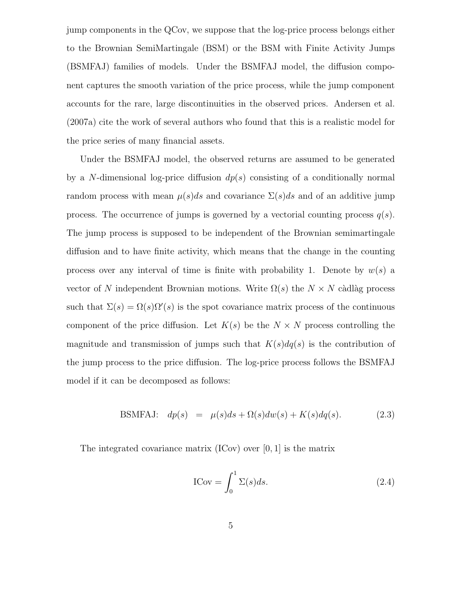jump components in the QCov, we suppose that the log-price process belongs either to the Brownian SemiMartingale (BSM) or the BSM with Finite Activity Jumps (BSMFAJ) families of models. Under the BSMFAJ model, the diffusion component captures the smooth variation of the price process, while the jump component accounts for the rare, large discontinuities in the observed prices. Andersen et al. (2007a) cite the work of several authors who found that this is a realistic model for the price series of many financial assets.

Under the BSMFAJ model, the observed returns are assumed to be generated by a N-dimensional log-price diffusion  $dp(s)$  consisting of a conditionally normal random process with mean  $\mu(s)ds$  and covariance  $\Sigma(s)ds$  and of an additive jump process. The occurrence of jumps is governed by a vectorial counting process  $q(s)$ . The jump process is supposed to be independent of the Brownian semimartingale diffusion and to have finite activity, which means that the change in the counting process over any interval of time is finite with probability 1. Denote by  $w(s)$  a vector of N independent Brownian motions. Write  $\Omega(s)$  the  $N \times N$  càdlàg process such that  $\Sigma(s) = \Omega(s)\Omega'(s)$  is the spot covariance matrix process of the continuous component of the price diffusion. Let  $K(s)$  be the  $N \times N$  process controlling the magnitude and transmission of jumps such that  $K(s)dq(s)$  is the contribution of the jump process to the price diffusion. The log-price process follows the BSMFAJ model if it can be decomposed as follows:

BSMFAJ: 
$$
dp(s) = \mu(s)ds + \Omega(s)dw(s) + K(s)dq(s)
$$
. (2.3)

The integrated covariance matrix  $(ICov)$  over  $[0, 1]$  is the matrix

$$
ICov = \int_0^1 \Sigma(s)ds.
$$
 (2.4)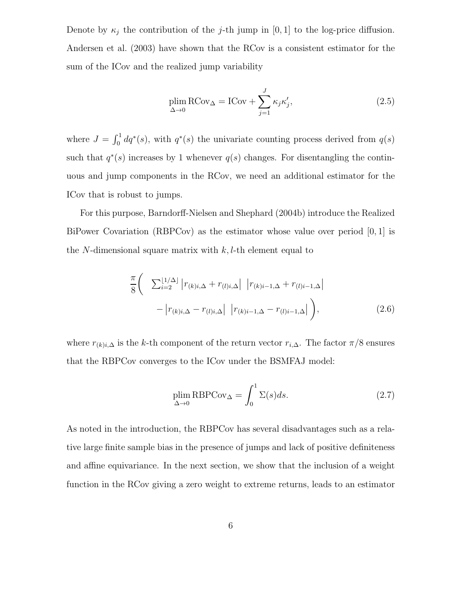Denote by  $\kappa_j$  the contribution of the j-th jump in [0, 1] to the log-price diffusion. Andersen et al. (2003) have shown that the RCov is a consistent estimator for the sum of the ICov and the realized jump variability

$$
\plim_{\Delta \to 0} \text{RCov}_{\Delta} = \text{ICov} + \sum_{j=1}^{J} \kappa_j \kappa'_j,\tag{2.5}
$$

where  $J = \int_0^1 dq^*(s)$ , with  $q^*(s)$  the univariate counting process derived from  $q(s)$ such that  $q^*(s)$  increases by 1 whenever  $q(s)$  changes. For disentangling the continuous and jump components in the RCov, we need an additional estimator for the ICov that is robust to jumps.

For this purpose, Barndorff-Nielsen and Shephard (2004b) introduce the Realized BiPower Covariation (RBPCov) as the estimator whose value over period [0, 1] is the N-dimensional square matrix with  $k, l$ -th element equal to

$$
\frac{\pi}{8} \left( \sum_{i=2}^{\lfloor 1/\Delta \rfloor} \left| r_{(k)i,\Delta} + r_{(l)i,\Delta} \right| \left| r_{(k)i-1,\Delta} + r_{(l)i-1,\Delta} \right| - \left| r_{(k)i,\Delta} - r_{(l)i,\Delta} \right| \left| r_{(k)i-1,\Delta} - r_{(l)i-1,\Delta} \right| \right),
$$
\n(2.6)

where  $r_{(k)i,\Delta}$  is the k-th component of the return vector  $r_{i,\Delta}$ . The factor  $\pi/8$  ensures that the RBPCov converges to the ICov under the BSMFAJ model:

$$
\plim_{\Delta \to 0} \text{RBPCov}_{\Delta} = \int_{0}^{1} \Sigma(s) ds.
$$
\n(2.7)

As noted in the introduction, the RBPCov has several disadvantages such as a relative large finite sample bias in the presence of jumps and lack of positive definiteness and affine equivariance. In the next section, we show that the inclusion of a weight function in the RCov giving a zero weight to extreme returns, leads to an estimator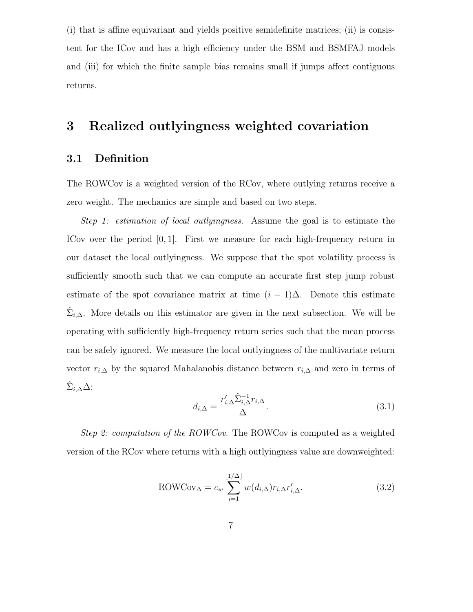(i) that is affine equivariant and yields positive semidefinite matrices; (ii) is consistent for the ICov and has a high efficiency under the BSM and BSMFAJ models and (iii) for which the finite sample bias remains small if jumps affect contiguous returns.

## 3 Realized outlyingness weighted covariation

### 3.1 Definition

The ROWCov is a weighted version of the RCov, where outlying returns receive a zero weight. The mechanics are simple and based on two steps.

*Step 1: estimation of local outlyingness*. Assume the goal is to estimate the ICov over the period [0, 1]. First we measure for each high-frequency return in our dataset the local outlyingness. We suppose that the spot volatility process is sufficiently smooth such that we can compute an accurate first step jump robust estimate of the spot covariance matrix at time  $(i - 1)\Delta$ . Denote this estimate  $\hat{\Sigma}_{i,\Delta}$ . More details on this estimator are given in the next subsection. We will be operating with sufficiently high-frequency return series such that the mean process can be safely ignored. We measure the local outlyingness of the multivariate return vector  $r_{i,\Delta}$  by the squared Mahalanobis distance between  $r_{i,\Delta}$  and zero in terms of  $\hat{\Sigma}_{i,\Delta} \Delta$ :

$$
d_{i,\Delta} = \frac{r'_{i,\Delta} \hat{\Sigma}_{i,\Delta}^{-1} r_{i,\Delta}}{\Delta}.
$$
\n(3.1)

*Step 2: computation of the ROWCov*. The ROWCov is computed as a weighted version of the RCov where returns with a high outlyingness value are downweighted:

$$
ROWCov_{\Delta} = c_w \sum_{i=1}^{\lfloor 1/\Delta \rfloor} w(d_{i,\Delta}) r_{i,\Delta} r'_{i,\Delta}.
$$
\n(3.2)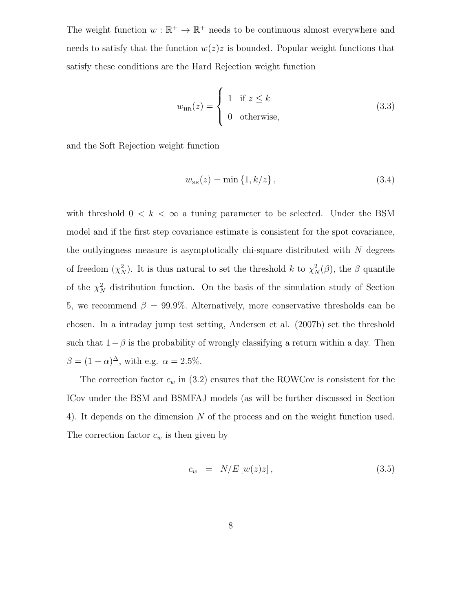The weight function  $w : \mathbb{R}^+ \to \mathbb{R}^+$  needs to be continuous almost everywhere and needs to satisfy that the function  $w(z)z$  is bounded. Popular weight functions that satisfy these conditions are the Hard Rejection weight function

$$
w_{HR}(z) = \begin{cases} 1 & \text{if } z \le k \\ 0 & \text{otherwise,} \end{cases}
$$
 (3.3)

and the Soft Rejection weight function

$$
w_{\rm SR}(z) = \min\{1, k/z\},\tag{3.4}
$$

with threshold  $0 < k < \infty$  a tuning parameter to be selected. Under the BSM model and if the first step covariance estimate is consistent for the spot covariance, the outlyingness measure is asymptotically chi-square distributed with  $N$  degrees of freedom  $(\chi_N^2)$ . It is thus natural to set the threshold k to  $\chi_N^2(\beta)$ , the  $\beta$  quantile of the  $\chi^2_N$  distribution function. On the basis of the simulation study of Section 5, we recommend  $\beta = 99.9\%$ . Alternatively, more conservative thresholds can be chosen. In a intraday jump test setting, Andersen et al. (2007b) set the threshold such that  $1-\beta$  is the probability of wrongly classifying a return within a day. Then  $\beta = (1 - \alpha)^{\Delta}$ , with e.g.  $\alpha = 2.5\%$ .

The correction factor  $c_w$  in (3.2) ensures that the ROWCov is consistent for the ICov under the BSM and BSMFAJ models (as will be further discussed in Section 4). It depends on the dimension N of the process and on the weight function used. The correction factor  $c_w$  is then given by

$$
c_w = N/E[w(z)z], \qquad (3.5)
$$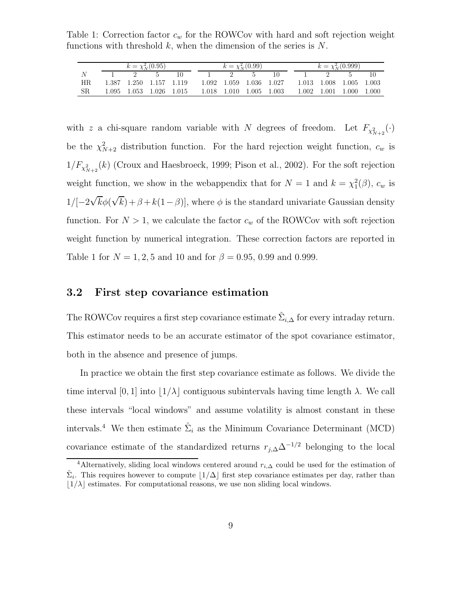Table 1: Correction factor  $c_w$  for the ROWCov with hard and soft rejection weight functions with threshold  $k$ , when the dimension of the series is  $N$ .

|     | $k = \chi^2_N(0.95)$ |  |                         |  |                                                 | $k = \chi^2_N(0.99)$ |  | $k = \chi^2_N(0.999)$ |                         |  |  |
|-----|----------------------|--|-------------------------|--|-------------------------------------------------|----------------------|--|-----------------------|-------------------------|--|--|
|     |                      |  |                         |  |                                                 |                      |  |                       |                         |  |  |
| HR. |                      |  | 1.387 1.250 1.157 1.119 |  | 1.092 1.059 1.036 1.027                         |                      |  |                       | 1.013 1.008 1.005 1.003 |  |  |
| -SR |                      |  |                         |  | 1.095 1.053 1.026 1.015 1.018 1.010 1.005 1.003 |                      |  |                       | 1.002 1.001 1.000 1.000 |  |  |

with z a chi-square random variable with N degrees of freedom. Let  $F_{\chi^2_{N+2}}(\cdot)$ be the  $\chi^2_{N+2}$  distribution function. For the hard rejection weight function,  $c_w$  is  $1/F_{\chi^2_{N+2}}(k)$  (Croux and Haesbroeck, 1999; Pison et al., 2002). For the soft rejection weight function, we show in the webappendix that for  $N = 1$  and  $k = \chi_1^2(\beta)$ ,  $c_w$  is  $1/[-2\sqrt{k}\phi(\sqrt{k}) + \beta + k(1-\beta)]$ , where  $\phi$  is the standard univariate Gaussian density function. For  $N > 1$ , we calculate the factor  $c_w$  of the ROWCov with soft rejection weight function by numerical integration. These correction factors are reported in Table 1 for  $N = 1, 2, 5$  and 10 and for  $\beta = 0.95, 0.99$  and 0.999.

#### 3.2 First step covariance estimation

The ROWCov requires a first step covariance estimate  $\hat{\Sigma}_{i,\Delta}$  for every intraday return. This estimator needs to be an accurate estimator of the spot covariance estimator, both in the absence and presence of jumps.

In practice we obtain the first step covariance estimate as follows. We divide the time interval [0, 1] into  $|1/\lambda|$  contiguous subintervals having time length  $\lambda$ . We call these intervals "local windows" and assume volatility is almost constant in these intervals.<sup>4</sup> We then estimate  $\hat{\Sigma}_i$  as the Minimum Covariance Determinant (MCD) covariance estimate of the standardized returns  $r_{j,\Delta}\Delta^{-1/2}$  belonging to the local

<sup>&</sup>lt;sup>4</sup>Alternatively, sliding local windows centered around  $r_{i,\Delta}$  could be used for the estimation of  $\hat{\Sigma}_i$ . This requires however to compute  $\lfloor 1/\Delta \rfloor$  first step covariance estimates per day, rather than  $|1/\lambda|$  estimates. For computational reasons, we use non sliding local windows.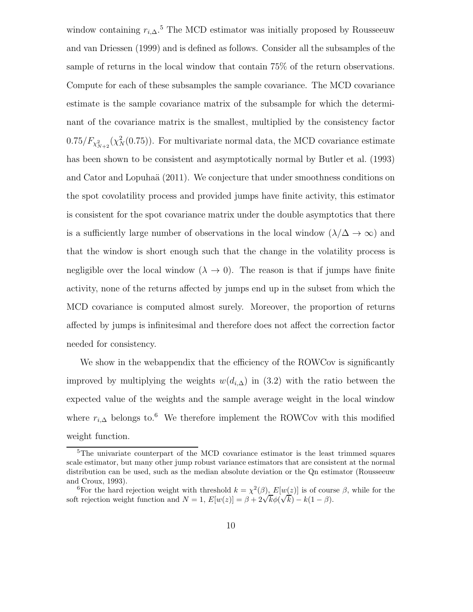window containing  $r_{i,\Delta}$ <sup>5</sup> The MCD estimator was initially proposed by Rousseeuw and van Driessen (1999) and is defined as follows. Consider all the subsamples of the sample of returns in the local window that contain 75% of the return observations. Compute for each of these subsamples the sample covariance. The MCD covariance estimate is the sample covariance matrix of the subsample for which the determinant of the covariance matrix is the smallest, multiplied by the consistency factor  $0.75/F_{\chi^2_{N+2}}(\chi^2_N(0.75))$ . For multivariate normal data, the MCD covariance estimate has been shown to be consistent and asymptotically normal by Butler et al. (1993) and Cator and Lopuhaä (2011). We conjecture that under smoothness conditions on the spot covolatility process and provided jumps have finite activity, this estimator is consistent for the spot covariance matrix under the double asymptotics that there is a sufficiently large number of observations in the local window  $(\lambda/\Delta \to \infty)$  and that the window is short enough such that the change in the volatility process is negligible over the local window  $(\lambda \to 0)$ . The reason is that if jumps have finite activity, none of the returns affected by jumps end up in the subset from which the MCD covariance is computed almost surely. Moreover, the proportion of returns affected by jumps is infinitesimal and therefore does not affect the correction factor needed for consistency.

We show in the webappendix that the efficiency of the ROWCov is significantly improved by multiplying the weights  $w(d_{i,\Delta})$  in (3.2) with the ratio between the expected value of the weights and the sample average weight in the local window where  $r_{i,\Delta}$  belongs to.<sup>6</sup> We therefore implement the ROWCov with this modified weight function.

<sup>&</sup>lt;sup>5</sup>The univariate counterpart of the MCD covariance estimator is the least trimmed squares scale estimator, but many other jump robust variance estimators that are consistent at the normal distribution can be used, such as the median absolute deviation or the Qn estimator (Rousseeuw and Croux, 1993).

<sup>&</sup>lt;sup>6</sup>For the hard rejection weight with threshold  $k = \chi^2(\beta)$ ,  $E[w(z)]$  is of course  $\beta$ , while for the soft rejection weight function and  $N = 1$ ,  $E[w(z)] = \beta + 2\sqrt{k}\phi(\sqrt{k}) - k(1 - \beta)$ .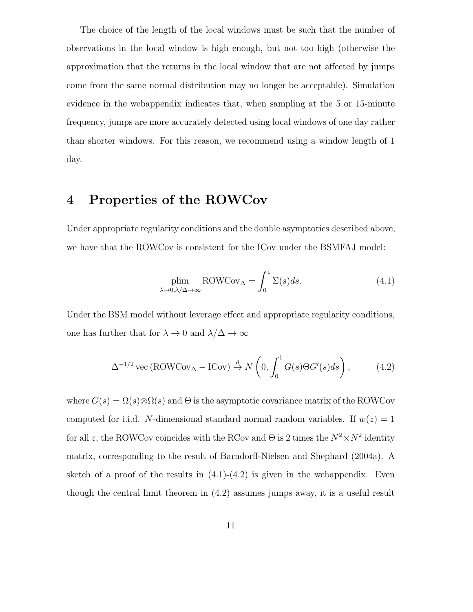The choice of the length of the local windows must be such that the number of observations in the local window is high enough, but not too high (otherwise the approximation that the returns in the local window that are not affected by jumps come from the same normal distribution may no longer be acceptable). Simulation evidence in the webappendix indicates that, when sampling at the 5 or 15-minute frequency, jumps are more accurately detected using local windows of one day rather than shorter windows. For this reason, we recommend using a window length of 1 day.

## 4 Properties of the ROWCov

Under appropriate regularity conditions and the double asymptotics described above, we have that the ROWCov is consistent for the ICov under the BSMFAJ model:

$$
\lim_{\lambda \to 0, \lambda/\Delta \to \infty} \text{ROWCov}_{\Delta} = \int_0^1 \Sigma(s) ds.
$$
 (4.1)

Under the BSM model without leverage effect and appropriate regularity conditions, one has further that for  $\lambda \to 0$  and  $\lambda/\Delta \to \infty$ 

$$
\Delta^{-1/2} \text{vec} (\text{ROWCov}_{\Delta} - \text{ICov}) \stackrel{d}{\rightarrow} N\left(0, \int_0^1 G(s) \Theta G'(s) ds\right), \tag{4.2}
$$

where  $G(s) = \Omega(s) \otimes \Omega(s)$  and  $\Theta$  is the asymptotic covariance matrix of the ROWCov computed for i.i.d. N-dimensional standard normal random variables. If  $w(z) = 1$ for all z, the ROWCov coincides with the RCov and  $\Theta$  is 2 times the  $N^2 \times N^2$  identity matrix, corresponding to the result of Barndorff-Nielsen and Shephard (2004a). A sketch of a proof of the results in  $(4.1)-(4.2)$  is given in the webappendix. Even though the central limit theorem in (4.2) assumes jumps away, it is a useful result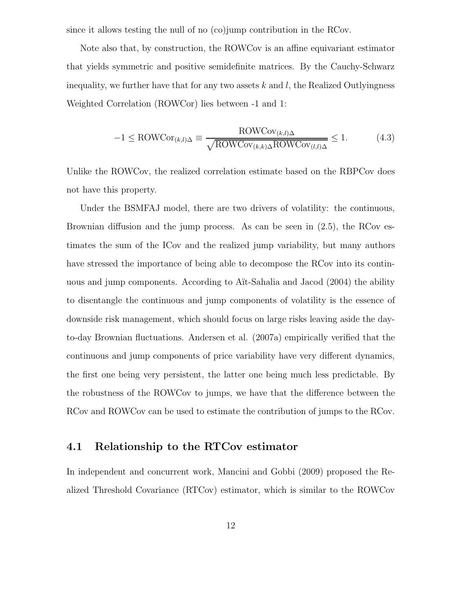since it allows testing the null of no (co)jump contribution in the RCov.

Note also that, by construction, the ROWCov is an affine equivariant estimator that yields symmetric and positive semidefinite matrices. By the Cauchy-Schwarz inequality, we further have that for any two assets  $k$  and  $l$ , the Realized Outlyingness Weighted Correlation (ROWCor) lies between -1 and 1:

$$
-1 \leq \text{ROWCor}_{(k,l)\Delta} \equiv \frac{\text{ROWCov}_{(k,l)\Delta}}{\sqrt{\text{ROWCov}_{(k,k)\Delta}\text{ROWCov}_{(l,l)\Delta}}} \leq 1. \tag{4.3}
$$

Unlike the ROWCov, the realized correlation estimate based on the RBPCov does not have this property.

Under the BSMFAJ model, there are two drivers of volatility: the continuous, Brownian diffusion and the jump process. As can be seen in (2.5), the RCov estimates the sum of the ICov and the realized jump variability, but many authors have stressed the importance of being able to decompose the RCov into its continuous and jump components. According to A¨ıt-Sahalia and Jacod (2004) the ability to disentangle the continuous and jump components of volatility is the essence of downside risk management, which should focus on large risks leaving aside the dayto-day Brownian fluctuations. Andersen et al. (2007a) empirically verified that the continuous and jump components of price variability have very different dynamics, the first one being very persistent, the latter one being much less predictable. By the robustness of the ROWCov to jumps, we have that the difference between the RCov and ROWCov can be used to estimate the contribution of jumps to the RCov.

#### 4.1 Relationship to the RTCov estimator

In independent and concurrent work, Mancini and Gobbi (2009) proposed the Realized Threshold Covariance (RTCov) estimator, which is similar to the ROWCov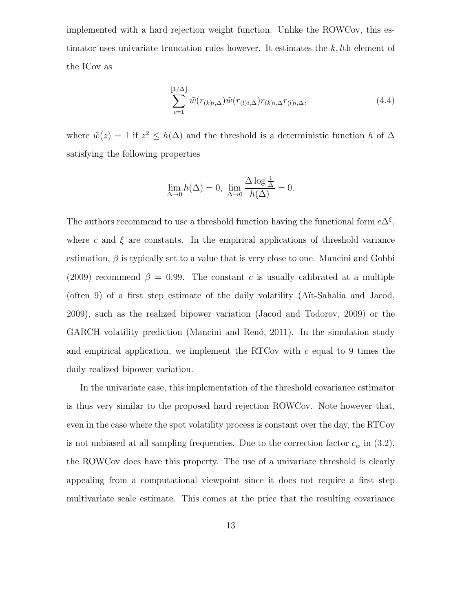implemented with a hard rejection weight function. Unlike the ROWCov, this estimator uses univariate truncation rules however. It estimates the  $k, l$ th element of the ICov as

$$
\sum_{i=1}^{\lfloor 1/\Delta \rfloor} \tilde{w}(r_{(k)i,\Delta})\tilde{w}(r_{(l)i,\Delta})r_{(k)i,\Delta}r_{(l)i,\Delta},\tag{4.4}
$$

where  $\tilde{w}(z) = 1$  if  $z^2 \leq h(\Delta)$  and the threshold is a deterministic function h of  $\Delta$ satisfying the following properties

$$
\lim_{\Delta \to 0} h(\Delta) = 0, \ \lim_{\Delta \to 0} \frac{\Delta \log \frac{1}{\Delta}}{h(\Delta)} = 0.
$$

The authors recommend to use a threshold function having the functional form  $c\Delta^{\xi}$ , where c and  $\xi$  are constants. In the empirical applications of threshold variance estimation,  $\beta$  is typically set to a value that is very close to one. Mancini and Gobbi (2009) recommend  $\beta = 0.99$ . The constant c is usually calibrated at a multiple (often 9) of a first step estimate of the daily volatility  $(A$ it-Sahalia and Jacod, 2009), such as the realized bipower variation (Jacod and Todorov, 2009) or the GARCH volatility prediction (Mancini and Renó, 2011). In the simulation study and empirical application, we implement the RTCov with  $c$  equal to 9 times the daily realized bipower variation.

In the univariate case, this implementation of the threshold covariance estimator is thus very similar to the proposed hard rejection ROWCov. Note however that, even in the case where the spot volatility process is constant over the day, the RTCov is not unbiased at all sampling frequencies. Due to the correction factor  $c_w$  in  $(3.2)$ , the ROWCov does have this property. The use of a univariate threshold is clearly appealing from a computational viewpoint since it does not require a first step multivariate scale estimate. This comes at the price that the resulting covariance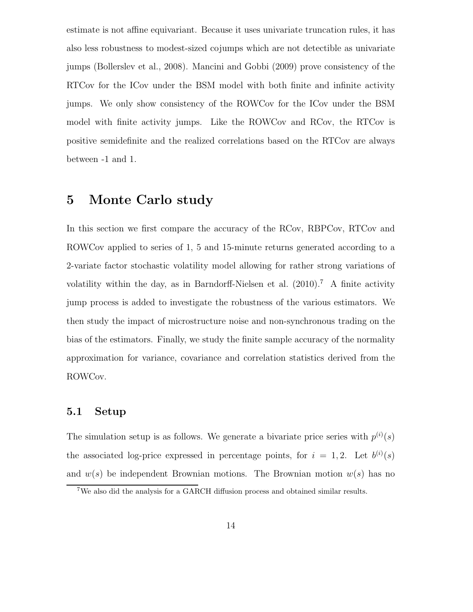estimate is not affine equivariant. Because it uses univariate truncation rules, it has also less robustness to modest-sized cojumps which are not detectible as univariate jumps (Bollerslev et al., 2008). Mancini and Gobbi (2009) prove consistency of the RTCov for the ICov under the BSM model with both finite and infinite activity jumps. We only show consistency of the ROWCov for the ICov under the BSM model with finite activity jumps. Like the ROWCov and RCov, the RTCov is positive semidefinite and the realized correlations based on the RTCov are always between -1 and 1.

## 5 Monte Carlo study

In this section we first compare the accuracy of the RCov, RBPCov, RTCov and ROWCov applied to series of 1, 5 and 15-minute returns generated according to a 2-variate factor stochastic volatility model allowing for rather strong variations of volatility within the day, as in Barndorff-Nielsen et al.  $(2010)^7$  A finite activity jump process is added to investigate the robustness of the various estimators. We then study the impact of microstructure noise and non-synchronous trading on the bias of the estimators. Finally, we study the finite sample accuracy of the normality approximation for variance, covariance and correlation statistics derived from the ROWCov.

#### 5.1 Setup

The simulation setup is as follows. We generate a bivariate price series with  $p^{(i)}(s)$ the associated log-price expressed in percentage points, for  $i = 1, 2$ . Let  $b^{(i)}(s)$ and  $w(s)$  be independent Brownian motions. The Brownian motion  $w(s)$  has no

<sup>7</sup>We also did the analysis for a GARCH diffusion process and obtained similar results.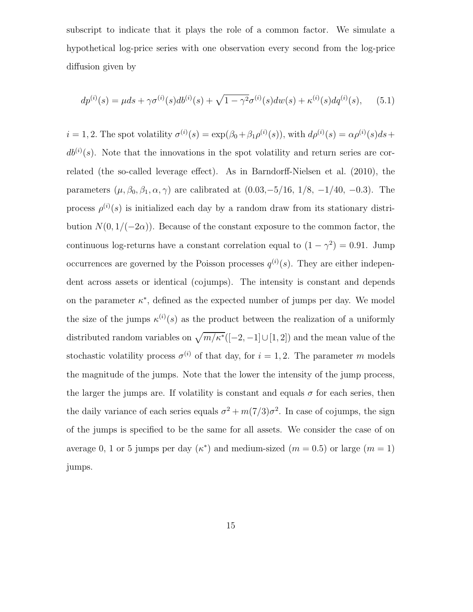subscript to indicate that it plays the role of a common factor. We simulate a hypothetical log-price series with one observation every second from the log-price diffusion given by

$$
dp^{(i)}(s) = \mu ds + \gamma \sigma^{(i)}(s) db^{(i)}(s) + \sqrt{1 - \gamma^2} \sigma^{(i)}(s) dw(s) + \kappa^{(i)}(s) dq^{(i)}(s), \quad (5.1)
$$

 $i = 1, 2$ . The spot volatility  $\sigma^{(i)}(s) = \exp(\beta_0 + \beta_1 \rho^{(i)}(s))$ , with  $d\rho^{(i)}(s) = \alpha \rho^{(i)}(s) ds +$  $db^{(i)}(s)$ . Note that the innovations in the spot volatility and return series are correlated (the so-called leverage effect). As in Barndorff-Nielsen et al. (2010), the parameters  $(\mu, \beta_0, \beta_1, \alpha, \gamma)$  are calibrated at  $(0.03, -5/16, 1/8, -1/40, -0.3)$ . The process  $\rho^{(i)}(s)$  is initialized each day by a random draw from its stationary distribution  $N(0, 1/(-2\alpha))$ . Because of the constant exposure to the common factor, the continuous log-returns have a constant correlation equal to  $(1 - \gamma^2) = 0.91$ . Jump occurrences are governed by the Poisson processes  $q^{(i)}(s)$ . They are either independent across assets or identical (cojumps). The intensity is constant and depends on the parameter  $\kappa^*$ , defined as the expected number of jumps per day. We model the size of the jumps  $\kappa^{(i)}(s)$  as the product between the realization of a uniformly distributed random variables on  $\sqrt{m/\kappa^*}([-2, -1] \cup [1, 2])$  and the mean value of the stochastic volatility process  $\sigma^{(i)}$  of that day, for  $i = 1, 2$ . The parameter m models the magnitude of the jumps. Note that the lower the intensity of the jump process, the larger the jumps are. If volatility is constant and equals  $\sigma$  for each series, then the daily variance of each series equals  $\sigma^2 + m(7/3)\sigma^2$ . In case of cojumps, the sign of the jumps is specified to be the same for all assets. We consider the case of on average 0, 1 or 5 jumps per day  $(\kappa^*)$  and medium-sized  $(m = 0.5)$  or large  $(m = 1)$ jumps.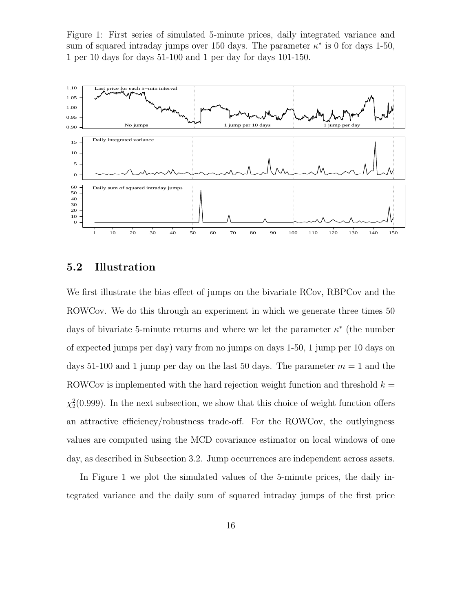Figure 1: First series of simulated 5-minute prices, daily integrated variance and sum of squared intraday jumps over 150 days. The parameter  $\kappa^*$  is 0 for days 1-50, 1 per 10 days for days 51-100 and 1 per day for days 101-150.



## 5.2 Illustration

We first illustrate the bias effect of jumps on the bivariate RCov, RBPCov and the ROWCov. We do this through an experiment in which we generate three times 50 days of bivariate 5-minute returns and where we let the parameter  $\kappa^*$  (the number of expected jumps per day) vary from no jumps on days 1-50, 1 jump per 10 days on days 51-100 and 1 jump per day on the last 50 days. The parameter  $m = 1$  and the ROWCov is implemented with the hard rejection weight function and threshold  $k =$  $\chi_2^2(0.999)$ . In the next subsection, we show that this choice of weight function offers an attractive efficiency/robustness trade-off. For the ROWCov, the outlyingness values are computed using the MCD covariance estimator on local windows of one day, as described in Subsection 3.2. Jump occurrences are independent across assets.

In Figure 1 we plot the simulated values of the 5-minute prices, the daily integrated variance and the daily sum of squared intraday jumps of the first price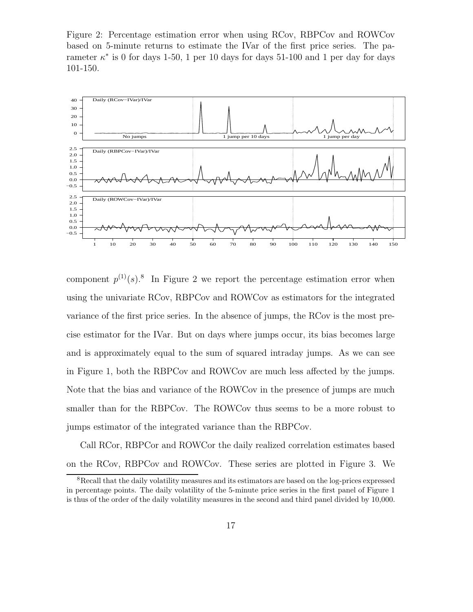Figure 2: Percentage estimation error when using RCov, RBPCov and ROWCov based on 5-minute returns to estimate the IVar of the first price series. The parameter  $\kappa^*$  is 0 for days 1-50, 1 per 10 days for days 51-100 and 1 per day for days 101-150.



component  $p^{(1)}(s)$ .<sup>8</sup> In Figure 2 we report the percentage estimation error when using the univariate RCov, RBPCov and ROWCov as estimators for the integrated variance of the first price series. In the absence of jumps, the RCov is the most precise estimator for the IVar. But on days where jumps occur, its bias becomes large and is approximately equal to the sum of squared intraday jumps. As we can see in Figure 1, both the RBPCov and ROWCov are much less affected by the jumps. Note that the bias and variance of the ROWCov in the presence of jumps are much smaller than for the RBPCov. The ROWCov thus seems to be a more robust to jumps estimator of the integrated variance than the RBPCov.

Call RCor, RBPCor and ROWCor the daily realized correlation estimates based on the RCov, RBPCov and ROWCov. These series are plotted in Figure 3. We

<sup>8</sup>Recall that the daily volatility measures and its estimators are based on the log-prices expressed in percentage points. The daily volatility of the 5-minute price series in the first panel of Figure 1 is thus of the order of the daily volatility measures in the second and third panel divided by 10,000.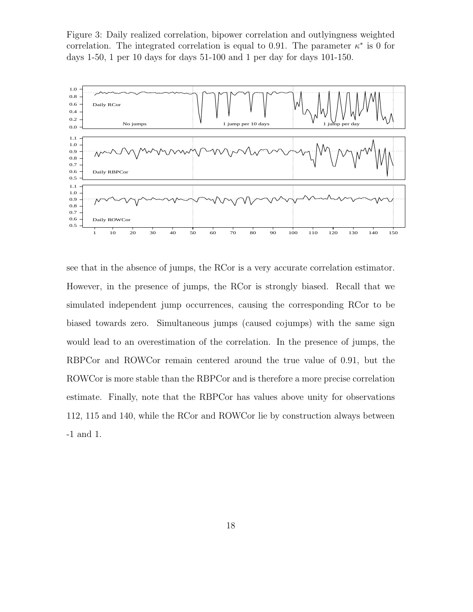Figure 3: Daily realized correlation, bipower correlation and outlyingness weighted correlation. The integrated correlation is equal to 0.91. The parameter  $\kappa^*$  is 0 for days 1-50, 1 per 10 days for days 51-100 and 1 per day for days 101-150.



see that in the absence of jumps, the RCor is a very accurate correlation estimator. However, in the presence of jumps, the RCor is strongly biased. Recall that we simulated independent jump occurrences, causing the corresponding RCor to be biased towards zero. Simultaneous jumps (caused cojumps) with the same sign would lead to an overestimation of the correlation. In the presence of jumps, the RBPCor and ROWCor remain centered around the true value of 0.91, but the ROWCor is more stable than the RBPCor and is therefore a more precise correlation estimate. Finally, note that the RBPCor has values above unity for observations 112, 115 and 140, while the RCor and ROWCor lie by construction always between -1 and 1.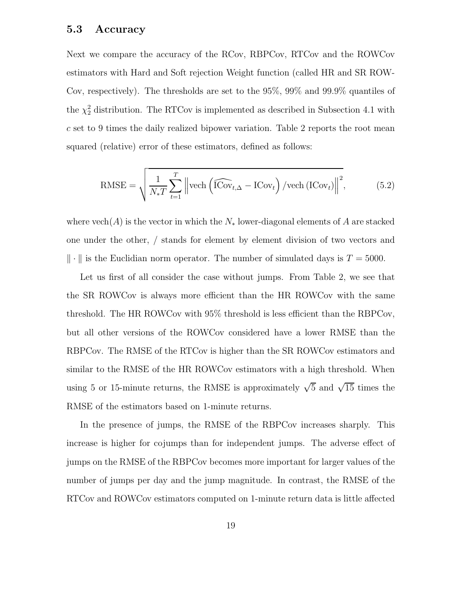#### 5.3 Accuracy

Next we compare the accuracy of the RCov, RBPCov, RTCov and the ROWCov estimators with Hard and Soft rejection Weight function (called HR and SR ROW-Cov, respectively). The thresholds are set to the 95%, 99% and 99.9% quantiles of the  $\chi^2$  distribution. The RTCov is implemented as described in Subsection 4.1 with c set to 9 times the daily realized bipower variation. Table 2 reports the root mean squared (relative) error of these estimators, defined as follows:

$$
\text{RMSE} = \sqrt{\frac{1}{N_* T} \sum_{t=1}^{T} \left\| \text{vech}\left(\widehat{\text{ICov}}_{t,\Delta} - \text{ICov}_t\right) / \text{vech}\left(\text{ICov}_t\right) \right\|^2},\tag{5.2}
$$

where  $\text{vech}(A)$  is the vector in which the  $N_*$  lower-diagonal elements of A are stacked one under the other, / stands for element by element division of two vectors and  $\|\cdot\|$  is the Euclidian norm operator. The number of simulated days is  $T = 5000$ .

Let us first of all consider the case without jumps. From Table 2, we see that the SR ROWCov is always more efficient than the HR ROWCov with the same threshold. The HR ROWCov with 95% threshold is less efficient than the RBPCov, but all other versions of the ROWCov considered have a lower RMSE than the RBPCov. The RMSE of the RTCov is higher than the SR ROWCov estimators and similar to the RMSE of the HR ROWCov estimators with a high threshold. When using 5 or 15-minute returns, the RMSE is approximately  $\sqrt{5}$  and  $\sqrt{15}$  times the RMSE of the estimators based on 1-minute returns.

In the presence of jumps, the RMSE of the RBPCov increases sharply. This increase is higher for cojumps than for independent jumps. The adverse effect of jumps on the RMSE of the RBPCov becomes more important for larger values of the number of jumps per day and the jump magnitude. In contrast, the RMSE of the RTCov and ROWCov estimators computed on 1-minute return data is little affected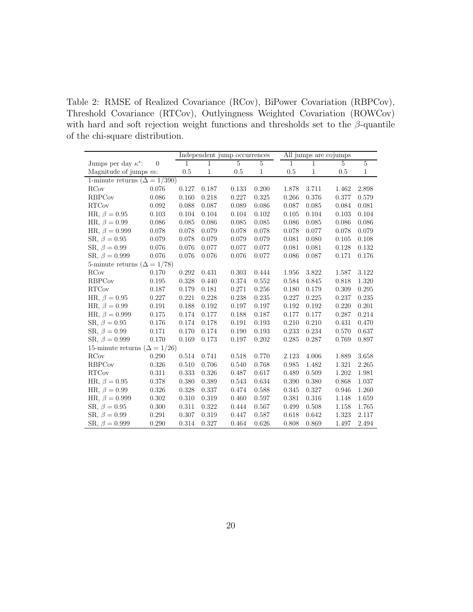Table 2: RMSE of Realized Covariance (RCov), BiPower Covariation (RBPCov), Threshold Covariance (RTCov), Outlyingness Weighted Covariation (ROWCov) with hard and soft rejection weight functions and thresholds set to the  $\beta$ -quantile of the chi-square distribution.

|                                       |                |              |              | Independent jump occurrences |                |       | All jumps are cojumps |                |                |  |  |
|---------------------------------------|----------------|--------------|--------------|------------------------------|----------------|-------|-----------------------|----------------|----------------|--|--|
| Jumps per day $\kappa^*$ :            | $\overline{0}$ | $\mathbf{1}$ | 1            | 5                            | $\overline{5}$ | 1     | 1                     | $\overline{5}$ | $\overline{5}$ |  |  |
| Magnitude of jumps $m$ :              |                | $0.5\,$      | $\mathbf{1}$ | $0.5\,$                      | $\,1$          | 0.5   | 1                     | 0.5            | 1              |  |  |
| 1-minute returns ( $\Delta = 1/390$ ) |                |              |              |                              |                |       |                       |                |                |  |  |
| <b>RCov</b>                           | 0.076          | 0.127        | 0.187        | 0.133                        | 0.200          | 1.878 | 3.711                 | 1.462          | 2.898          |  |  |
| <b>RBPCov</b>                         | 0.086          | 0.160        | 0.218        | 0.227                        | $0.325\,$      | 0.266 | 0.376                 | 0.377          | 0.579          |  |  |
| <b>RTCov</b>                          | 0.092          | 0.088        | 0.087        | 0.089                        | 0.086          | 0.087 | 0.085                 | 0.084          | 0.081          |  |  |
| HR, $\beta = 0.95$                    | 0.103          | 0.104        | 0.104        | 0.104                        | 0.102          | 0.105 | 0.104                 | 0.103          | 0.104          |  |  |
| HR, $\beta = 0.99$                    | 0.086          | 0.085        | 0.086        | 0.085                        | 0.085          | 0.086 | 0.085                 | 0.086          | 0.086          |  |  |
| HR, $\beta = 0.999$                   | 0.078          | 0.078        | 0.079        | 0.078                        | 0.078          | 0.078 | 0.077                 | 0.078          | 0.079          |  |  |
| SR, $\beta = 0.95$                    | 0.079          | 0.078        | 0.079        | 0.079                        | 0.079          | 0.081 | 0.080                 | 0.105          | 0.108          |  |  |
| SR, $\beta = 0.99$                    | 0.076          | 0.076        | 0.077        | 0.077                        | 0.077          | 0.081 | 0.081                 | 0.128          | 0.132          |  |  |
| SR, $\beta = 0.999$                   | 0.076          | 0.076        | 0.076        | 0.076                        | 0.077          | 0.086 | 0.087                 | 0.171          | 0.176          |  |  |
| 5-minute returns ( $\Delta = 1/78$ )  |                |              |              |                              |                |       |                       |                |                |  |  |
| <b>RCov</b>                           | 0.170          | 0.292        | 0.431        | 0.303                        | 0.444          | 1.956 | 3.822                 | 1.587          | 3.122          |  |  |
| <b>RBPCov</b>                         | 0.195          | 0.328        | 0.440        | 0.374                        | 0.552          | 0.584 | 0.845                 | 0.818          | 1.320          |  |  |
| <b>RTCov</b>                          | 0.187          | 0.179        | 0.181        | 0.271                        | 0.256          | 0.180 | 0.179                 | 0.309          | 0.295          |  |  |
| HR, $\beta = 0.95$                    | 0.227          | 0.221        | 0.228        | 0.238                        | 0.235          | 0.227 | 0.225                 | 0.237          | 0.235          |  |  |
| HR, $\beta = 0.99$                    | 0.191          | 0.188        | 0.192        | 0.197                        | 0.197          | 0.192 | 0.192                 | 0.220          | 0.201          |  |  |
| HR, $\beta = 0.999$                   | 0.175          | 0.174        | 0.177        | 0.188                        | 0.187          | 0.177 | 0.177                 | 0.287          | 0.214          |  |  |
| SR, $\beta = 0.95$                    | 0.176          | 0.174        | 0.178        | 0.191                        | 0.193          | 0.210 | 0.210                 | 0.431          | 0.470          |  |  |
| SR, $\beta = 0.99$                    | 0.171          | 0.170        | 0.174        | 0.190                        | 0.193          | 0.233 | 0.234                 | 0.570          | 0.637          |  |  |
| SR, $\beta = 0.999$                   | 0.170          | 0.169        | 0.173        | 0.197                        | 0.202          | 0.285 | 0.287                 | 0.769          | 0.897          |  |  |
| 15-minute returns ( $\Delta = 1/26$ ) |                |              |              |                              |                |       |                       |                |                |  |  |
| <b>RCov</b>                           | 0.290          | 0.514        | 0.741        | 0.518                        | 0.770          | 2.123 | 4.006                 | 1.889          | 3.658          |  |  |
| <b>RBPCov</b>                         | 0.326          | 0.510        | 0.706        | 0.540                        | 0.768          | 0.985 | 1.482                 | 1.321          | 2.265          |  |  |
| <b>RTCov</b>                          | 0.311          | 0.333        | 0.326        | 0.487                        | 0.617          | 0.489 | 0.509                 | 1.202          | 1.981          |  |  |
| HR, $\beta = 0.95$                    | 0.378          | 0.380        | 0.389        | 0.543                        | 0.634          | 0.390 | 0.380                 | 0.868          | 1.037          |  |  |
| HR, $\beta = 0.99$                    | 0.326          | 0.328        | 0.337        | 0.474                        | 0.588          | 0.345 | 0.327                 | 0.946          | 1.260          |  |  |
| HR, $\beta = 0.999$                   | 0.302          | 0.310        | 0.319        | 0.460                        | 0.597          | 0.381 | 0.316                 | 1.148          | 1.659          |  |  |
| SR, $\beta = 0.95$                    | 0.300          | 0.311        | 0.322        | 0.444                        | 0.567          | 0.499 | 0.508                 | 1.158          | 1.765          |  |  |
| SR, $\beta = 0.99$                    | 0.291          | 0.307        | 0.319        | 0.447                        | 0.587          | 0.618 | 0.642                 | 1.323          | 2.117          |  |  |
| SR, $\beta = 0.999$                   | 0.290          | 0.314        | 0.327        | 0.464                        | 0.626          | 0.808 | 0.869                 | 1.497          | 2.494          |  |  |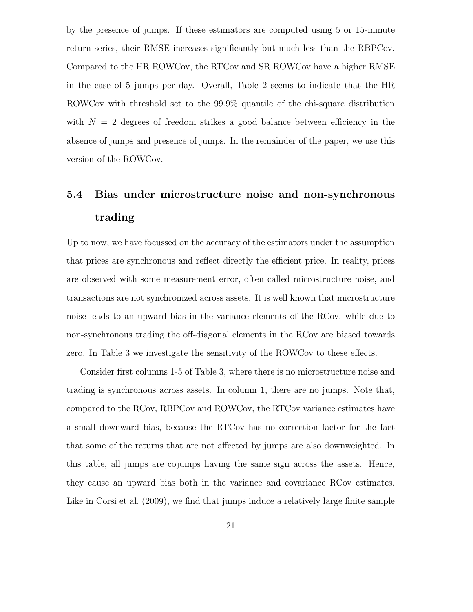by the presence of jumps. If these estimators are computed using 5 or 15-minute return series, their RMSE increases significantly but much less than the RBPCov. Compared to the HR ROWCov, the RTCov and SR ROWCov have a higher RMSE in the case of 5 jumps per day. Overall, Table 2 seems to indicate that the HR ROWCov with threshold set to the 99.9% quantile of the chi-square distribution with  $N = 2$  degrees of freedom strikes a good balance between efficiency in the absence of jumps and presence of jumps. In the remainder of the paper, we use this version of the ROWCov.

# 5.4 Bias under microstructure noise and non-synchronous trading

Up to now, we have focussed on the accuracy of the estimators under the assumption that prices are synchronous and reflect directly the efficient price. In reality, prices are observed with some measurement error, often called microstructure noise, and transactions are not synchronized across assets. It is well known that microstructure noise leads to an upward bias in the variance elements of the RCov, while due to non-synchronous trading the off-diagonal elements in the RCov are biased towards zero. In Table 3 we investigate the sensitivity of the ROWCov to these effects.

Consider first columns 1-5 of Table 3, where there is no microstructure noise and trading is synchronous across assets. In column 1, there are no jumps. Note that, compared to the RCov, RBPCov and ROWCov, the RTCov variance estimates have a small downward bias, because the RTCov has no correction factor for the fact that some of the returns that are not affected by jumps are also downweighted. In this table, all jumps are cojumps having the same sign across the assets. Hence, they cause an upward bias both in the variance and covariance RCov estimates. Like in Corsi et al. (2009), we find that jumps induce a relatively large finite sample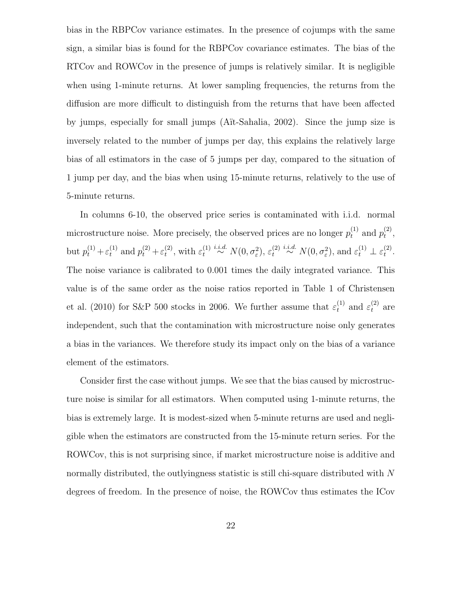bias in the RBPCov variance estimates. In the presence of cojumps with the same sign, a similar bias is found for the RBPCov covariance estimates. The bias of the RTCov and ROWCov in the presence of jumps is relatively similar. It is negligible when using 1-minute returns. At lower sampling frequencies, the returns from the diffusion are more difficult to distinguish from the returns that have been affected by jumps, especially for small jumps (A¨ıt-Sahalia, 2002). Since the jump size is inversely related to the number of jumps per day, this explains the relatively large bias of all estimators in the case of 5 jumps per day, compared to the situation of 1 jump per day, and the bias when using 15-minute returns, relatively to the use of 5-minute returns.

In columns 6-10, the observed price series is contaminated with i.i.d. normal microstructure noise. More precisely, the observed prices are no longer  $p_t^{(1)}$  and  $p_t^{(2)}$  $\mathcal{L}^{(2)}_t,$ but  $p_t^{(1)} + \varepsilon_t^{(1)}$  and  $p_t^{(2)} + \varepsilon_t^{(2)}$  $t^{(2)}$ , with  $\varepsilon_t^{(1)}$  $t^{(1)} \overset{i.i.d.}{\sim} N(0, \sigma_{\varepsilon}^2), \varepsilon_t^{(2)}$  $\tau_t^{(2)} \stackrel{i.i.d.}{\sim} N(0, \sigma_\varepsilon^2)$ , and  $\varepsilon_t^{(1)} \perp \varepsilon_t^{(2)}$  $\mathcal{L}^{(2)}$ . The noise variance is calibrated to 0.001 times the daily integrated variance. This value is of the same order as the noise ratios reported in Table 1 of Christensen et al. (2010) for S&P 500 stocks in 2006. We further assume that  $\varepsilon_t^{(1)}$  and  $\varepsilon_t^{(2)}$  are independent, such that the contamination with microstructure noise only generates a bias in the variances. We therefore study its impact only on the bias of a variance element of the estimators.

Consider first the case without jumps. We see that the bias caused by microstructure noise is similar for all estimators. When computed using 1-minute returns, the bias is extremely large. It is modest-sized when 5-minute returns are used and negligible when the estimators are constructed from the 15-minute return series. For the ROWCov, this is not surprising since, if market microstructure noise is additive and normally distributed, the outlyingness statistic is still chi-square distributed with N degrees of freedom. In the presence of noise, the ROWCov thus estimates the ICov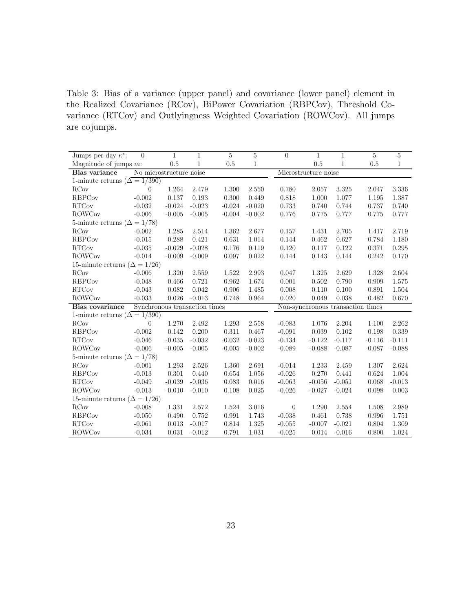Table 3: Bias of a variance (upper panel) and covariance (lower panel) element in the Realized Covariance (RCov), BiPower Covariation (RBPCov), Threshold Covariance (RTCov) and Outlyingness Weighted Covariation (ROWCov). All jumps are cojumps.

| Jumps per day $\kappa^*$ :            | $\theta$                                         | 1         | 1            | $\overline{5}$ | $\overline{5}$ | $\theta$                          | 1        | $\mathbf{1}$ | $\overline{5}$ | $\overline{5}$ |  |
|---------------------------------------|--------------------------------------------------|-----------|--------------|----------------|----------------|-----------------------------------|----------|--------------|----------------|----------------|--|
| Magnitude of jumps $m$ :              |                                                  | 0.5       | $\mathbf{1}$ | $0.5\,$        | $\mathbf{1}$   |                                   | 0.5      | $\mathbf{1}$ | 0.5            | 1              |  |
| Bias variance                         | No microstructure noise                          |           |              |                |                | Microstructure noise              |          |              |                |                |  |
|                                       | 1-minute returns ( $\overline{\Delta} = 1/390$ ) |           |              |                |                |                                   |          |              |                |                |  |
| <b>RCov</b>                           | $\theta$                                         | 1.264     | 2.479        | 1.300          | 2.550          | 0.780                             | 2.057    | 3.325        | 2.047          | 3.336          |  |
| <b>RBPCov</b>                         | $-0.002$                                         | 0.137     | 0.193        | 0.300          | 0.449          | 0.818                             | 1.000    | 1.077        | 1.195          | 1.387          |  |
| <b>RTCov</b>                          | $-0.032$                                         | $-0.024$  | $-0.023$     | $-0.024$       | $-0.020$       | 0.733                             | 0.740    | 0.744        | 0.737          | 0.740          |  |
| <b>ROWCov</b>                         | $-0.006$                                         | $-0.005$  | $-0.005$     | $-0.004$       | $-0.002$       | 0.776                             | 0.775    | 0.777        | 0.775          | 0.777          |  |
| 5-minute returns ( $\Delta = 1/78$ )  |                                                  |           |              |                |                |                                   |          |              |                |                |  |
| <b>RCov</b>                           | $-0.002$                                         | 1.285     | 2.514        | 1.362          | 2.677          | 0.157                             | 1.431    | 2.705        | 1.417          | 2.719          |  |
| <b>RBPCov</b>                         | $-0.015$                                         | 0.288     | 0.421        | 0.631          | 1.014          | 0.144                             | 0.462    | 0.627        | 0.784          | 1.180          |  |
| <b>RTCov</b>                          | $-0.035$                                         | $-0.029$  | $-0.028$     | 0.176          | 0.119          | 0.120                             | 0.117    | 0.122        | 0.371          | 0.295          |  |
| <b>ROWCov</b>                         | $-0.014$                                         | $-0.009$  | $-0.009$     | 0.097          | 0.022          | 0.144                             | 0.143    | 0.144        | 0.242          | 0.170          |  |
| 15-minute returns ( $\Delta = 1/26$ ) |                                                  |           |              |                |                |                                   |          |              |                |                |  |
| <b>RCov</b>                           | $-0.006$                                         | 1.320     | 2.559        | 1.522          | 2.993          | 0.047                             | 1.325    | 2.629        | 1.328          | 2.604          |  |
| <b>RBPCov</b>                         | $-0.048$                                         | 0.466     | 0.721        | 0.962          | 1.674          | 0.001                             | 0.502    | 0.790        | 0.909          | 1.575          |  |
| <b>RTCov</b>                          | $-0.043$                                         | 0.082     | 0.042        | 0.906          | 1.485          | 0.008                             | 0.110    | 0.100        | 0.891          | 1.504          |  |
| <b>ROWCov</b>                         | $-0.033$                                         | 0.026     | $-0.013$     | 0.748          | 0.964          | 0.020                             | 0.049    | 0.038        | 0.482          | 0.670          |  |
| Bias covariance                       | Synchronous transaction times                    |           |              |                |                | Non-synchronous transaction times |          |              |                |                |  |
| 1-minute returns ( $\Delta = 1/390$ ) |                                                  |           |              |                |                |                                   |          |              |                |                |  |
| <b>RCov</b>                           | $\theta$                                         | 1.270     | 2.492        | 1.293          | 2.558          | $-0.083$                          | 1.076    | 2.204        | 1.100          | 2.262          |  |
| <b>RBPCov</b>                         | $-0.002$                                         | 0.142     | 0.200        | 0.311          | 0.467          | $-0.091$                          | 0.039    | 0.102        | 0.198          | 0.339          |  |
| <b>RTCov</b>                          | $-0.046$                                         | $-0.035$  | $-0.032$     | $-0.032$       | $-0.023$       | $-0.134$                          | $-0.122$ | $-0.117$     | $-0.116$       | $-0.111$       |  |
| <b>ROWCov</b>                         | $-0.006$                                         | $-0.005$  | $-0.005$     | $-0.005$       | $-0.002$       | $-0.089$                          | $-0.088$ | $-0.087$     | $-0.087$       | $-0.088$       |  |
| 5-minute returns ( $\Delta = 1/78$ )  |                                                  |           |              |                |                |                                   |          |              |                |                |  |
| <b>RCov</b>                           | $-0.001$                                         | $1.293\,$ | 2.526        | 1.360          | 2.691          | $-0.014$                          | 1.233    | 2.459        | 1.307          | 2.624          |  |
| <b>RBPCov</b>                         | $-0.013$                                         | 0.301     | 0.440        | 0.654          | 1.056          | $-0.026$                          | 0.270    | 0.441        | 0.624          | 1.004          |  |
| <b>RTCov</b>                          | $-0.049$                                         | $-0.039$  | $-0.036$     | 0.083          | 0.016          | $-0.063$                          | $-0.056$ | $-0.051$     | 0.068          | $-0.013$       |  |
| <b>ROWCov</b>                         | $-0.013$                                         | $-0.010$  | $-0.010$     | 0.108          | 0.025          | $-0.026$                          | $-0.027$ | $-0.024$     | 0.098          | 0.003          |  |
| 15-minute returns ( $\Delta = 1/26$ ) |                                                  |           |              |                |                |                                   |          |              |                |                |  |
| <b>RCov</b>                           | $-0.008$                                         | 1.331     | 2.572        | 1.524          | 3.016          | $\overline{0}$                    | 1.290    | 2.554        | 1.508          | 2.989          |  |
| <b>RBPCov</b>                         | $-0.050$                                         | 0.490     | 0.752        | 0.991          | 1.743          | $-0.038$                          | 0.461    | 0.738        | 0.996          | 1.751          |  |
| <b>RTCov</b>                          | $-0.061$                                         | 0.013     | $-0.017$     | 0.814          | 1.325          | $-0.055$                          | $-0.007$ | $-0.021$     | 0.804          | 1.309          |  |
| <b>ROWCov</b>                         | $-0.034$                                         | 0.031     | $-0.012$     | 0.791          | 1.031          | $-0.025$                          | 0.014    | $-0.016$     | 0.800          | 1.024          |  |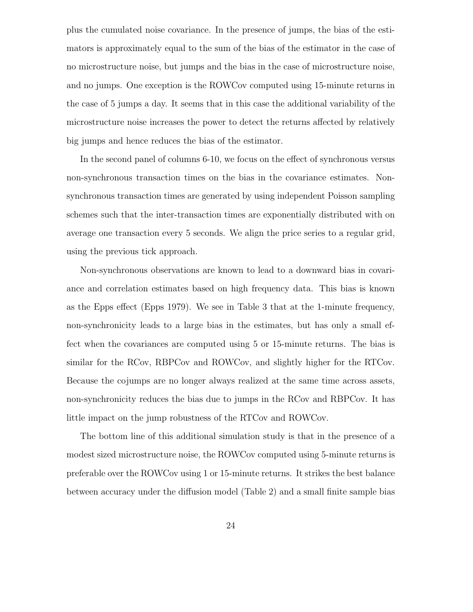plus the cumulated noise covariance. In the presence of jumps, the bias of the estimators is approximately equal to the sum of the bias of the estimator in the case of no microstructure noise, but jumps and the bias in the case of microstructure noise, and no jumps. One exception is the ROWCov computed using 15-minute returns in the case of 5 jumps a day. It seems that in this case the additional variability of the microstructure noise increases the power to detect the returns affected by relatively big jumps and hence reduces the bias of the estimator.

In the second panel of columns 6-10, we focus on the effect of synchronous versus non-synchronous transaction times on the bias in the covariance estimates. Nonsynchronous transaction times are generated by using independent Poisson sampling schemes such that the inter-transaction times are exponentially distributed with on average one transaction every 5 seconds. We align the price series to a regular grid, using the previous tick approach.

Non-synchronous observations are known to lead to a downward bias in covariance and correlation estimates based on high frequency data. This bias is known as the Epps effect (Epps 1979). We see in Table 3 that at the 1-minute frequency, non-synchronicity leads to a large bias in the estimates, but has only a small effect when the covariances are computed using 5 or 15-minute returns. The bias is similar for the RCov, RBPCov and ROWCov, and slightly higher for the RTCov. Because the cojumps are no longer always realized at the same time across assets, non-synchronicity reduces the bias due to jumps in the RCov and RBPCov. It has little impact on the jump robustness of the RTCov and ROWCov.

The bottom line of this additional simulation study is that in the presence of a modest sized microstructure noise, the ROWCov computed using 5-minute returns is preferable over the ROWCov using 1 or 15-minute returns. It strikes the best balance between accuracy under the diffusion model (Table 2) and a small finite sample bias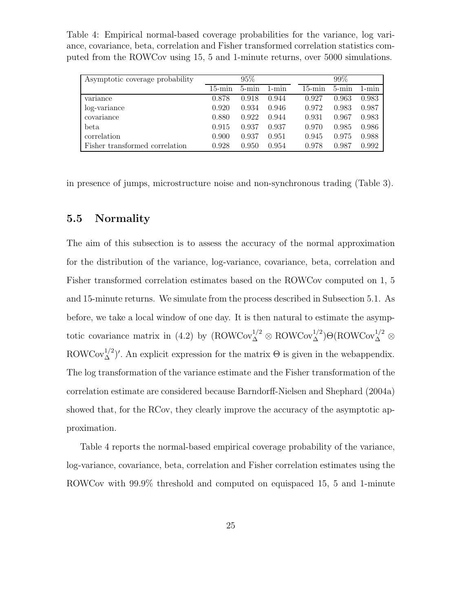Table 4: Empirical normal-based coverage probabilities for the variance, log variance, covariance, beta, correlation and Fisher transformed correlation statistics computed from the ROWCov using 15, 5 and 1-minute returns, over 5000 simulations.

| Asymptotic coverage probability |           | $95\%$    |           | $99\%$ |           |           |  |
|---------------------------------|-----------|-----------|-----------|--------|-----------|-----------|--|
|                                 | $15$ -min | $5 - min$ | $1 - min$ | 15-min | $5 - min$ | $1 - min$ |  |
| variance                        | 0.878     | 0.918     | 0.944     | 0.927  | 0.963     | 0.983     |  |
| log-variance                    | 0.920     | 0.934     | 0.946     | 0.972  | 0.983     | 0.987     |  |
| covariance                      | 0.880     | 0.922     | 0.944     | 0.931  | 0.967     | 0.983     |  |
| beta                            | 0.915     | 0.937     | 0.937     | 0.970  | 0.985     | 0.986     |  |
| correlation                     | 0.900     | 0.937     | 0.951     | 0.945  | 0.975     | 0.988     |  |
| Fisher transformed correlation  | 0.928     | 0.950     | 0.954     | 0.978  | 0.987     | 0.992     |  |

in presence of jumps, microstructure noise and non-synchronous trading (Table 3).

#### 5.5 Normality

The aim of this subsection is to assess the accuracy of the normal approximation for the distribution of the variance, log-variance, covariance, beta, correlation and Fisher transformed correlation estimates based on the ROWCov computed on 1, 5 and 15-minute returns. We simulate from the process described in Subsection 5.1. As before, we take a local window of one day. It is then natural to estimate the asymptotic covariance matrix in (4.2) by  $(ROWCov_{\Delta}^{1/2} \otimes ROWCov_{\Delta}^{1/2})\Theta(ROWCov_{\Delta}^{1/2} \otimes$ ROWCov<sup>1/2</sup>)'. An explicit expression for the matrix  $\Theta$  is given in the webappendix. The log transformation of the variance estimate and the Fisher transformation of the correlation estimate are considered because Barndorff-Nielsen and Shephard (2004a) showed that, for the RCov, they clearly improve the accuracy of the asymptotic approximation.

Table 4 reports the normal-based empirical coverage probability of the variance, log-variance, covariance, beta, correlation and Fisher correlation estimates using the ROWCov with 99.9% threshold and computed on equispaced 15, 5 and 1-minute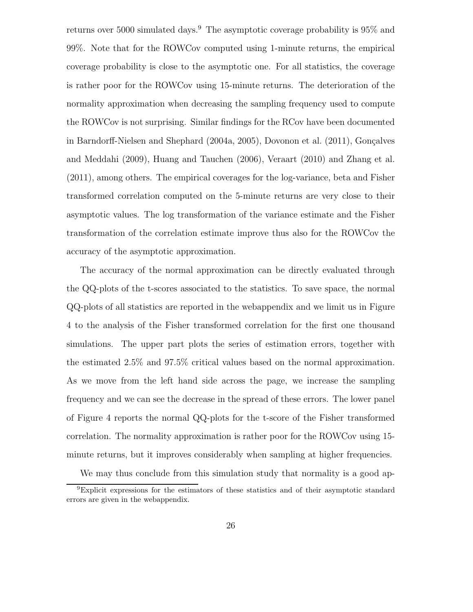returns over 5000 simulated days.<sup>9</sup> The asymptotic coverage probability is  $95\%$  and 99%. Note that for the ROWCov computed using 1-minute returns, the empirical coverage probability is close to the asymptotic one. For all statistics, the coverage is rather poor for the ROWCov using 15-minute returns. The deterioration of the normality approximation when decreasing the sampling frequency used to compute the ROWCov is not surprising. Similar findings for the RCov have been documented in Barndorff-Nielsen and Shephard  $(2004a, 2005)$ , Dovonon et al.  $(2011)$ , Gonçalves and Meddahi (2009), Huang and Tauchen (2006), Veraart (2010) and Zhang et al. (2011), among others. The empirical coverages for the log-variance, beta and Fisher transformed correlation computed on the 5-minute returns are very close to their asymptotic values. The log transformation of the variance estimate and the Fisher transformation of the correlation estimate improve thus also for the ROWCov the accuracy of the asymptotic approximation.

The accuracy of the normal approximation can be directly evaluated through the QQ-plots of the t-scores associated to the statistics. To save space, the normal QQ-plots of all statistics are reported in the webappendix and we limit us in Figure 4 to the analysis of the Fisher transformed correlation for the first one thousand simulations. The upper part plots the series of estimation errors, together with the estimated 2.5% and 97.5% critical values based on the normal approximation. As we move from the left hand side across the page, we increase the sampling frequency and we can see the decrease in the spread of these errors. The lower panel of Figure 4 reports the normal QQ-plots for the t-score of the Fisher transformed correlation. The normality approximation is rather poor for the ROWCov using 15 minute returns, but it improves considerably when sampling at higher frequencies.

We may thus conclude from this simulation study that normality is a good ap-

<sup>9</sup>Explicit expressions for the estimators of these statistics and of their asymptotic standard errors are given in the webappendix.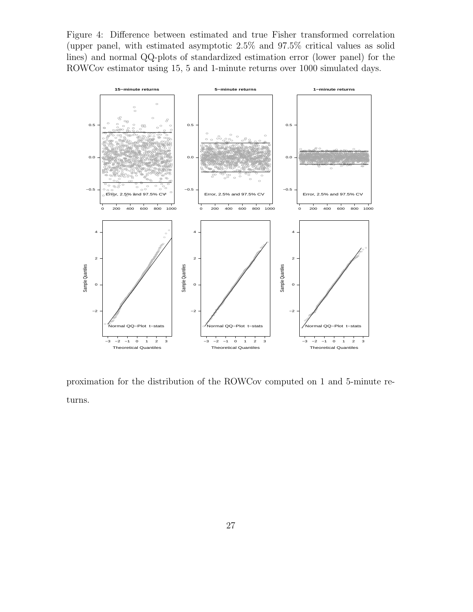Figure 4: Difference between estimated and true Fisher transformed correlation (upper panel, with estimated asymptotic 2.5% and 97.5% critical values as solid lines) and normal QQ-plots of standardized estimation error (lower panel) for the ROWCov estimator using 15, 5 and 1-minute returns over 1000 simulated days.



proximation for the distribution of the ROWCov computed on 1 and 5-minute returns.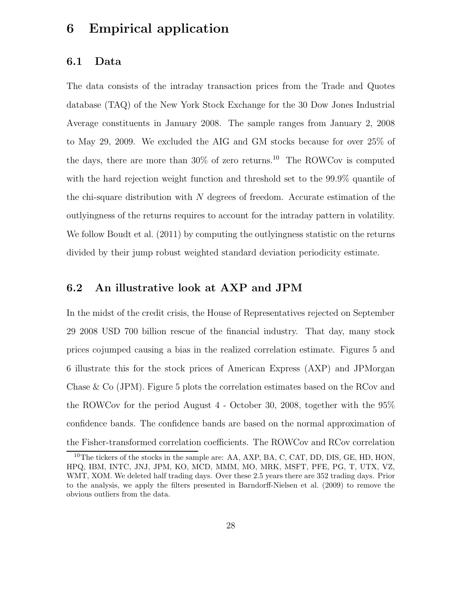## 6 Empirical application

#### 6.1 Data

The data consists of the intraday transaction prices from the Trade and Quotes database (TAQ) of the New York Stock Exchange for the 30 Dow Jones Industrial Average constituents in January 2008. The sample ranges from January 2, 2008 to May 29, 2009. We excluded the AIG and GM stocks because for over 25% of the days, there are more than  $30\%$  of zero returns.<sup>10</sup> The ROWCov is computed with the hard rejection weight function and threshold set to the 99.9% quantile of the chi-square distribution with  $N$  degrees of freedom. Accurate estimation of the outlyingness of the returns requires to account for the intraday pattern in volatility. We follow Boudt et al. (2011) by computing the outlyingness statistic on the returns divided by their jump robust weighted standard deviation periodicity estimate.

#### 6.2 An illustrative look at AXP and JPM

In the midst of the credit crisis, the House of Representatives rejected on September 29 2008 USD 700 billion rescue of the financial industry. That day, many stock prices cojumped causing a bias in the realized correlation estimate. Figures 5 and 6 illustrate this for the stock prices of American Express (AXP) and JPMorgan Chase & Co (JPM). Figure 5 plots the correlation estimates based on the RCov and the ROWCov for the period August 4 - October 30, 2008, together with the 95% confidence bands. The confidence bands are based on the normal approximation of the Fisher-transformed correlation coefficients. The ROWCov and RCov correlation

<sup>&</sup>lt;sup>10</sup>The tickers of the stocks in the sample are: AA, AXP, BA, C, CAT, DD, DIS, GE, HD, HON, HPQ, IBM, INTC, JNJ, JPM, KO, MCD, MMM, MO, MRK, MSFT, PFE, PG, T, UTX, VZ, WMT, XOM. We deleted half trading days. Over these 2.5 years there are 352 trading days. Prior to the analysis, we apply the filters presented in Barndorff-Nielsen et al. (2009) to remove the obvious outliers from the data.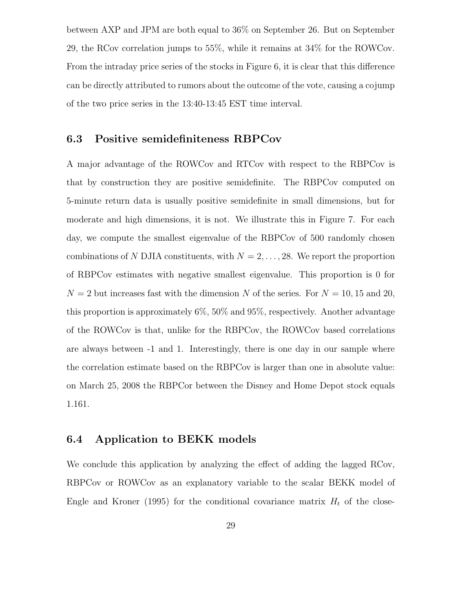between AXP and JPM are both equal to 36% on September 26. But on September 29, the RCov correlation jumps to 55%, while it remains at 34% for the ROWCov. From the intraday price series of the stocks in Figure 6, it is clear that this difference can be directly attributed to rumors about the outcome of the vote, causing a cojump of the two price series in the 13:40-13:45 EST time interval.

#### 6.3 Positive semidefiniteness RBPCov

A major advantage of the ROWCov and RTCov with respect to the RBPCov is that by construction they are positive semidefinite. The RBPCov computed on 5-minute return data is usually positive semidefinite in small dimensions, but for moderate and high dimensions, it is not. We illustrate this in Figure 7. For each day, we compute the smallest eigenvalue of the RBPCov of 500 randomly chosen combinations of N DJIA constituents, with  $N = 2, \ldots, 28$ . We report the proportion of RBPCov estimates with negative smallest eigenvalue. This proportion is 0 for  $N = 2$  but increases fast with the dimension N of the series. For  $N = 10, 15$  and 20, this proportion is approximately 6%, 50% and 95%, respectively. Another advantage of the ROWCov is that, unlike for the RBPCov, the ROWCov based correlations are always between -1 and 1. Interestingly, there is one day in our sample where the correlation estimate based on the RBPCov is larger than one in absolute value: on March 25, 2008 the RBPCor between the Disney and Home Depot stock equals 1.161.

#### 6.4 Application to BEKK models

We conclude this application by analyzing the effect of adding the lagged RCov, RBPCov or ROWCov as an explanatory variable to the scalar BEKK model of Engle and Kroner (1995) for the conditional covariance matrix  $H_t$  of the close-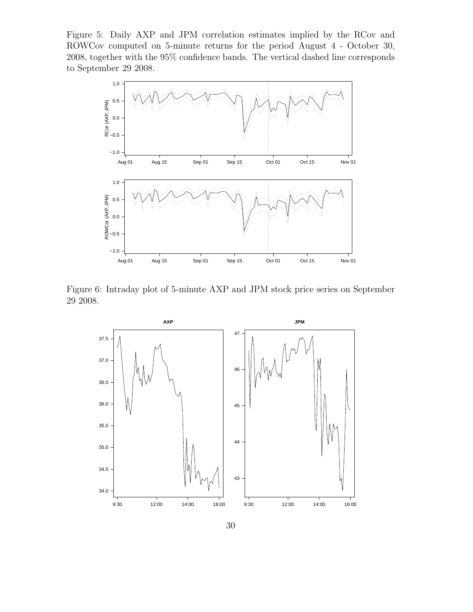Figure 5: Daily AXP and JPM correlation estimates implied by the RCov and ROWCov computed on 5-minute returns for the period August 4 - October 30, 2008, together with the 95% confidence bands. The vertical dashed line corresponds to September 29 2008.



Figure 6: Intraday plot of 5-minute AXP and JPM stock price series on September 29 2008.

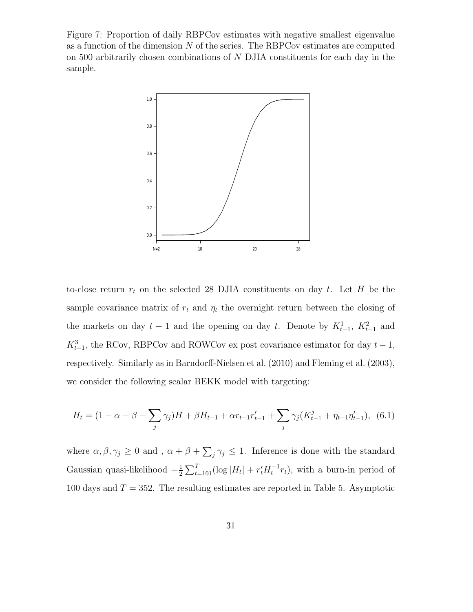Figure 7: Proportion of daily RBPCov estimates with negative smallest eigenvalue as a function of the dimension  $N$  of the series. The RBPCov estimates are computed on 500 arbitrarily chosen combinations of N DJIA constituents for each day in the sample.



to-close return  $r_t$  on the selected 28 DJIA constituents on day t. Let H be the sample covariance matrix of  $r_t$  and  $\eta_t$  the overnight return between the closing of the markets on day  $t-1$  and the opening on day t. Denote by  $K_{t-1}^1$ ,  $K_{t-1}^2$  and  $K_{t-1}^3$ , the RCov, RBPCov and ROWCov ex post covariance estimator for day  $t-1$ , respectively. Similarly as in Barndorff-Nielsen et al. (2010) and Fleming et al. (2003), we consider the following scalar BEKK model with targeting:

$$
H_t = (1 - \alpha - \beta - \sum_j \gamma_j)H + \beta H_{t-1} + \alpha r_{t-1} r'_{t-1} + \sum_j \gamma_j (K^j_{t-1} + \eta_{t-1} \eta'_{t-1}), \tag{6.1}
$$

where  $\alpha, \beta, \gamma_j \ge 0$  and,  $\alpha + \beta + \sum_j \gamma_j \le 1$ . Inference is done with the standard Gaussian quasi-likelihood  $-\frac{1}{2}$  $\frac{1}{2} \sum_{t=101}^{T} (\log |H_t| + r'_t H_t^{-1} r_t),$  with a burn-in period of 100 days and  $T = 352$ . The resulting estimates are reported in Table 5. Asymptotic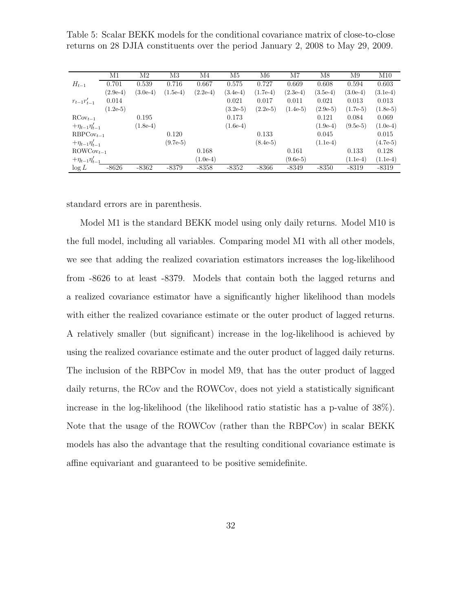Table 5: Scalar BEKK models for the conditional covariance matrix of close-to-close returns on 28 DJIA constituents over the period January 2, 2008 to May 29, 2009.

|                          | M1         | M2         | M3         | M4         | M5         | M6         | M7         | M8         | M9         | M10        |
|--------------------------|------------|------------|------------|------------|------------|------------|------------|------------|------------|------------|
| $H_{t-1}$                | 0.701      | 0.539      | 0.716      | 0.667      | 0.575      | 0.727      | 0.669      | 0.608      | 0.594      | 0.603      |
|                          | $(2.9e-4)$ | $(3.0e-4)$ | $(1.5e-4)$ | $(2.2e-4)$ | $(3.4e-4)$ | $(1.7e-4)$ | $(2.3e-4)$ | $(3.5e-4)$ | $(3.0e-4)$ | $(3.1e-4)$ |
| $r_{t-1}r_{t-1}'$        | 0.014      |            |            |            | 0.021      | 0.017      | 0.011      | 0.021      | 0.013      | 0.013      |
|                          | $(1.2e-5)$ |            |            |            | $(3.2e-5)$ | $(2.2e-5)$ | $(1.4e-5)$ | $(2.9e-5)$ | $(1.7e-5)$ | $(1.8e-5)$ |
| $\mathrm{RCov}_{t-1}$    |            | 0.195      |            |            | 0.173      |            |            | 0.121      | 0.084      | 0.069      |
| $+\eta_{t-1}\eta'_{t-1}$ |            | $(1.8e-4)$ |            |            | $(1.6e-4)$ |            |            | $(1.9e-4)$ | $(9.5e-5)$ | $(1.0e-4)$ |
| $RBPCov_{t-1}$           |            |            | 0.120      |            |            | 0.133      |            | 0.045      |            | 0.015      |
| $+\eta_{t-1}\eta'_{t-1}$ |            |            | $(9.7e-5)$ |            |            | $(8.4e-5)$ |            | $(1.1e-4)$ |            | $(4.7e-5)$ |
| $\text{ROWCov}_{t-1}$    |            |            |            | 0.168      |            |            | 0.161      |            | 0.133      | 0.128      |
| $+\eta_{t-1}\eta_{t-1}'$ |            |            |            | $(1.0e-4)$ |            |            | $(9.6e-5)$ |            | $(1.1e-4)$ | $(1.1e-4)$ |
| $\log L$                 | $-8626$    | $-8362$    | $-8379$    | $-8358$    | $-8352$    | $-8366$    | $-8349$    | $-8350$    | $-8319$    | $-8319$    |

standard errors are in parenthesis.

Model M1 is the standard BEKK model using only daily returns. Model M10 is the full model, including all variables. Comparing model M1 with all other models, we see that adding the realized covariation estimators increases the log-likelihood from -8626 to at least -8379. Models that contain both the lagged returns and a realized covariance estimator have a significantly higher likelihood than models with either the realized covariance estimate or the outer product of lagged returns. A relatively smaller (but significant) increase in the log-likelihood is achieved by using the realized covariance estimate and the outer product of lagged daily returns. The inclusion of the RBPCov in model M9, that has the outer product of lagged daily returns, the RCov and the ROWCov, does not yield a statistically significant increase in the log-likelihood (the likelihood ratio statistic has a p-value of 38%). Note that the usage of the ROWCov (rather than the RBPCov) in scalar BEKK models has also the advantage that the resulting conditional covariance estimate is affine equivariant and guaranteed to be positive semidefinite.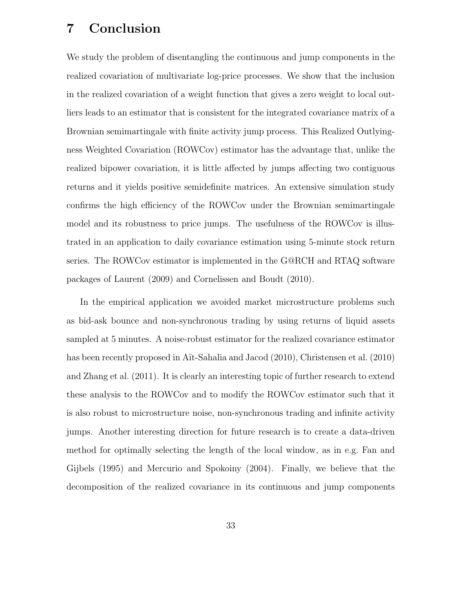## 7 Conclusion

We study the problem of disentangling the continuous and jump components in the realized covariation of multivariate log-price processes. We show that the inclusion in the realized covariation of a weight function that gives a zero weight to local outliers leads to an estimator that is consistent for the integrated covariance matrix of a Brownian semimartingale with finite activity jump process. This Realized Outlyingness Weighted Covariation (ROWCov) estimator has the advantage that, unlike the realized bipower covariation, it is little affected by jumps affecting two contiguous returns and it yields positive semidefinite matrices. An extensive simulation study confirms the high efficiency of the ROWCov under the Brownian semimartingale model and its robustness to price jumps. The usefulness of the ROWCov is illustrated in an application to daily covariance estimation using 5-minute stock return series. The ROWCov estimator is implemented in the G@RCH and RTAQ software packages of Laurent (2009) and Cornelissen and Boudt (2010).

In the empirical application we avoided market microstructure problems such as bid-ask bounce and non-synchronous trading by using returns of liquid assets sampled at 5 minutes. A noise-robust estimator for the realized covariance estimator has been recently proposed in Aït-Sahalia and Jacod (2010), Christensen et al. (2010) and Zhang et al. (2011). It is clearly an interesting topic of further research to extend these analysis to the ROWCov and to modify the ROWCov estimator such that it is also robust to microstructure noise, non-synchronous trading and infinite activity jumps. Another interesting direction for future research is to create a data-driven method for optimally selecting the length of the local window, as in e.g. Fan and Gijbels (1995) and Mercurio and Spokoiny (2004). Finally, we believe that the decomposition of the realized covariance in its continuous and jump components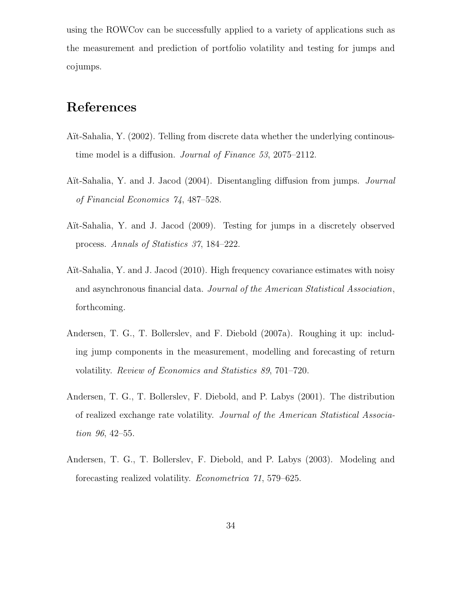using the ROWCov can be successfully applied to a variety of applications such as the measurement and prediction of portfolio volatility and testing for jumps and cojumps.

## References

- Aït-Sahalia, Y. (2002). Telling from discrete data whether the underlying continoustime model is a diffusion. *Journal of Finance 53*, 2075–2112.
- A¨ıt-Sahalia, Y. and J. Jacod (2004). Disentangling diffusion from jumps. *Journal of Financial Economics 74*, 487–528.
- Aït-Sahalia, Y. and J. Jacod (2009). Testing for jumps in a discretely observed process. *Annals of Statistics 37*, 184–222.
- Aït-Sahalia, Y. and J. Jacod (2010). High frequency covariance estimates with noisy and asynchronous financial data. *Journal of the American Statistical Association*, forthcoming.
- Andersen, T. G., T. Bollerslev, and F. Diebold (2007a). Roughing it up: including jump components in the measurement, modelling and forecasting of return volatility. *Review of Economics and Statistics 89*, 701–720.
- Andersen, T. G., T. Bollerslev, F. Diebold, and P. Labys (2001). The distribution of realized exchange rate volatility. *Journal of the American Statistical Association 96*, 42–55.
- Andersen, T. G., T. Bollerslev, F. Diebold, and P. Labys (2003). Modeling and forecasting realized volatility. *Econometrica 71*, 579–625.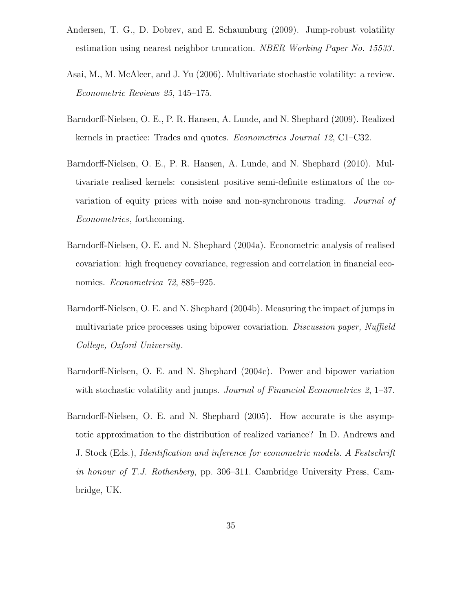- Andersen, T. G., D. Dobrev, and E. Schaumburg (2009). Jump-robust volatility estimation using nearest neighbor truncation. *NBER Working Paper No. 15533* .
- Asai, M., M. McAleer, and J. Yu (2006). Multivariate stochastic volatility: a review. *Econometric Reviews 25*, 145–175.
- Barndorff-Nielsen, O. E., P. R. Hansen, A. Lunde, and N. Shephard (2009). Realized kernels in practice: Trades and quotes. *Econometrics Journal 12*, C1–C32.
- Barndorff-Nielsen, O. E., P. R. Hansen, A. Lunde, and N. Shephard (2010). Multivariate realised kernels: consistent positive semi-definite estimators of the covariation of equity prices with noise and non-synchronous trading. *Journal of Econometrics*, forthcoming.
- Barndorff-Nielsen, O. E. and N. Shephard (2004a). Econometric analysis of realised covariation: high frequency covariance, regression and correlation in financial economics. *Econometrica 72*, 885–925.
- Barndorff-Nielsen, O. E. and N. Shephard (2004b). Measuring the impact of jumps in multivariate price processes using bipower covariation. *Discussion paper, Nuffield College, Oxford University*.
- Barndorff-Nielsen, O. E. and N. Shephard (2004c). Power and bipower variation with stochastic volatility and jumps. *Journal of Financial Econometrics 2*, 1–37.
- Barndorff-Nielsen, O. E. and N. Shephard (2005). How accurate is the asymptotic approximation to the distribution of realized variance? In D. Andrews and J. Stock (Eds.), *Identification and inference for econometric models. A Festschrift in honour of T.J. Rothenberg*, pp. 306–311. Cambridge University Press, Cambridge, UK.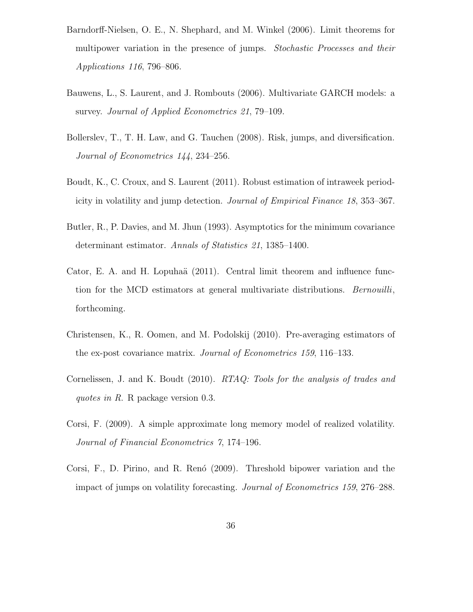- Barndorff-Nielsen, O. E., N. Shephard, and M. Winkel (2006). Limit theorems for multipower variation in the presence of jumps. *Stochastic Processes and their Applications 116*, 796–806.
- Bauwens, L., S. Laurent, and J. Rombouts (2006). Multivariate GARCH models: a survey. *Journal of Applied Econometrics 21*, 79–109.
- Bollerslev, T., T. H. Law, and G. Tauchen (2008). Risk, jumps, and diversification. *Journal of Econometrics 144*, 234–256.
- Boudt, K., C. Croux, and S. Laurent (2011). Robust estimation of intraweek periodicity in volatility and jump detection. *Journal of Empirical Finance 18*, 353–367.
- Butler, R., P. Davies, and M. Jhun (1993). Asymptotics for the minimum covariance determinant estimator. *Annals of Statistics 21*, 1385–1400.
- Cator, E. A. and H. Lopuhaä (2011). Central limit theorem and influence function for the MCD estimators at general multivariate distributions. *Bernouilli*, forthcoming.
- Christensen, K., R. Oomen, and M. Podolskij (2010). Pre-averaging estimators of the ex-post covariance matrix. *Journal of Econometrics 159*, 116–133.
- Cornelissen, J. and K. Boudt (2010). *RTAQ: Tools for the analysis of trades and quotes in R*. R package version 0.3.
- Corsi, F. (2009). A simple approximate long memory model of realized volatility. *Journal of Financial Econometrics 7*, 174–196.
- Corsi, F., D. Pirino, and R. Renó (2009). Threshold bipower variation and the impact of jumps on volatility forecasting. *Journal of Econometrics 159*, 276–288.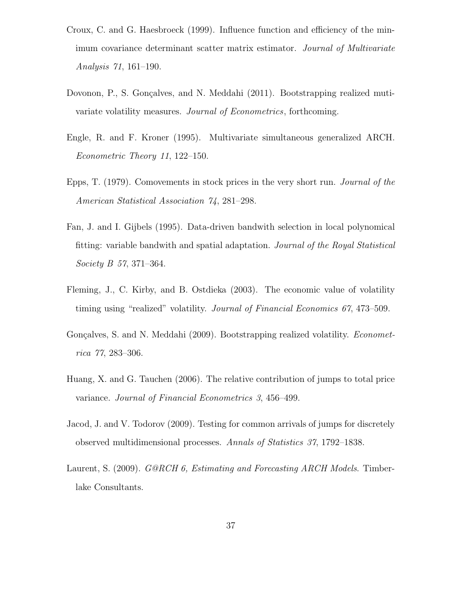- Croux, C. and G. Haesbroeck (1999). Influence function and efficiency of the minimum covariance determinant scatter matrix estimator. *Journal of Multivariate Analysis 71*, 161–190.
- Dovonon, P., S. Gonçalves, and N. Meddahi (2011). Bootstrapping realized mutivariate volatility measures. *Journal of Econometrics*, forthcoming.
- Engle, R. and F. Kroner (1995). Multivariate simultaneous generalized ARCH. *Econometric Theory 11*, 122–150.
- Epps, T. (1979). Comovements in stock prices in the very short run. *Journal of the American Statistical Association 74*, 281–298.
- Fan, J. and I. Gijbels (1995). Data-driven bandwith selection in local polynomical fitting: variable bandwith and spatial adaptation. *Journal of the Royal Statistical Society B 57*, 371–364.
- Fleming, J., C. Kirby, and B. Ostdieka (2003). The economic value of volatility timing using "realized" volatility. *Journal of Financial Economics 67*, 473–509.
- Gonçalves, S. and N. Meddahi (2009). Bootstrapping realized volatility. *Econometrica 77*, 283–306.
- Huang, X. and G. Tauchen (2006). The relative contribution of jumps to total price variance. *Journal of Financial Econometrics 3*, 456–499.
- Jacod, J. and V. Todorov (2009). Testing for common arrivals of jumps for discretely observed multidimensional processes. *Annals of Statistics 37*, 1792–1838.
- Laurent, S. (2009). *G@RCH 6, Estimating and Forecasting ARCH Models*. Timberlake Consultants.